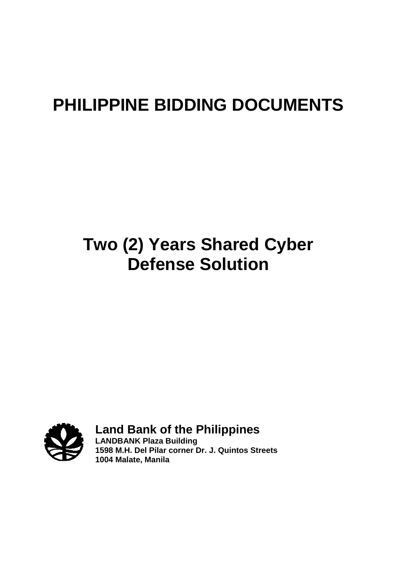# **PHILIPPINE BIDDING DOCUMENTS**

## **Two (2) Years Shared Cyber Defense Solution**



**Land Bank of the Philippines**

**LANDBANK Plaza Building 1598 M.H. Del Pilar corner Dr. J. Quintos Streets 1004 Malate, Manila**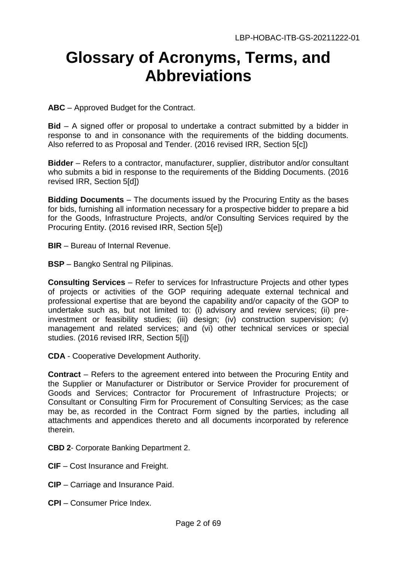## **Glossary of Acronyms, Terms, and Abbreviations**

**ABC** – Approved Budget for the Contract.

**Bid** – A signed offer or proposal to undertake a contract submitted by a bidder in response to and in consonance with the requirements of the bidding documents. Also referred to as Proposal and Tender. (2016 revised IRR, Section 5[c])

**Bidder** – Refers to a contractor, manufacturer, supplier, distributor and/or consultant who submits a bid in response to the requirements of the Bidding Documents. (2016 revised IRR, Section 5[d])

**Bidding Documents** – The documents issued by the Procuring Entity as the bases for bids, furnishing all information necessary for a prospective bidder to prepare a bid for the Goods, Infrastructure Projects, and/or Consulting Services required by the Procuring Entity. (2016 revised IRR, Section 5[e])

**BIR** – Bureau of Internal Revenue.

**BSP** – Bangko Sentral ng Pilipinas.

**Consulting Services** – Refer to services for Infrastructure Projects and other types of projects or activities of the GOP requiring adequate external technical and professional expertise that are beyond the capability and/or capacity of the GOP to undertake such as, but not limited to: (i) advisory and review services; (ii) preinvestment or feasibility studies; (iii) design; (iv) construction supervision; (v) management and related services; and (vi) other technical services or special studies. (2016 revised IRR, Section 5[i])

**CDA** - Cooperative Development Authority.

**Contract** – Refers to the agreement entered into between the Procuring Entity and the Supplier or Manufacturer or Distributor or Service Provider for procurement of Goods and Services; Contractor for Procurement of Infrastructure Projects; or Consultant or Consulting Firm for Procurement of Consulting Services; as the case may be, as recorded in the Contract Form signed by the parties, including all attachments and appendices thereto and all documents incorporated by reference therein.

**CBD 2**- Corporate Banking Department 2.

- **CIF** Cost Insurance and Freight.
- **CIP** Carriage and Insurance Paid.
- **CPI** Consumer Price Index.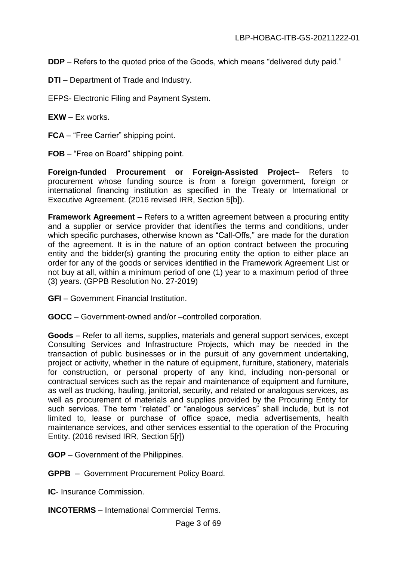- **DDP** Refers to the quoted price of the Goods, which means "delivered duty paid."
- **DTI** Department of Trade and Industry.
- EFPS- Electronic Filing and Payment System.
- **EXW** Ex works.
- **FCA** "Free Carrier" shipping point.
- **FOB** "Free on Board" shipping point.

**Foreign-funded Procurement or Foreign-Assisted Project**– Refers to procurement whose funding source is from a foreign government, foreign or international financing institution as specified in the Treaty or International or Executive Agreement. (2016 revised IRR, Section 5[b]).

**Framework Agreement** – Refers to a written agreement between a procuring entity and a supplier or service provider that identifies the terms and conditions, under which specific purchases, otherwise known as "Call-Offs," are made for the duration of the agreement. It is in the nature of an option contract between the procuring entity and the bidder(s) granting the procuring entity the option to either place an order for any of the goods or services identified in the Framework Agreement List or not buy at all, within a minimum period of one (1) year to a maximum period of three (3) years. (GPPB Resolution No. 27-2019)

- **GFI** Government Financial Institution.
- **GOCC** Government-owned and/or –controlled corporation.

**Goods** – Refer to all items, supplies, materials and general support services, except Consulting Services and Infrastructure Projects, which may be needed in the transaction of public businesses or in the pursuit of any government undertaking, project or activity, whether in the nature of equipment, furniture, stationery, materials for construction, or personal property of any kind, including non-personal or contractual services such as the repair and maintenance of equipment and furniture, as well as trucking, hauling, janitorial, security, and related or analogous services, as well as procurement of materials and supplies provided by the Procuring Entity for such services. The term "related" or "analogous services" shall include, but is not limited to, lease or purchase of office space, media advertisements, health maintenance services, and other services essential to the operation of the Procuring Entity. (2016 revised IRR, Section 5[r])

- **GOP** Government of the Philippines.
- **GPPB** Government Procurement Policy Board.

**IC**- Insurance Commission.

**INCOTERMS** – International Commercial Terms.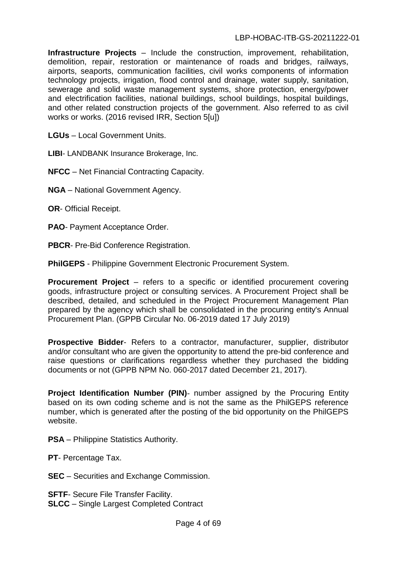**Infrastructure Projects** – Include the construction, improvement, rehabilitation, demolition, repair, restoration or maintenance of roads and bridges, railways, airports, seaports, communication facilities, civil works components of information technology projects, irrigation, flood control and drainage, water supply, sanitation, sewerage and solid waste management systems, shore protection, energy/power and electrification facilities, national buildings, school buildings, hospital buildings, and other related construction projects of the government. Also referred to as civil works or works. (2016 revised IRR, Section 5[u])

**LGUs** – Local Government Units.

**LIBI**- LANDBANK Insurance Brokerage, Inc.

**NFCC** – Net Financial Contracting Capacity.

**NGA** – National Government Agency.

**OR**- Official Receipt.

**PAO**- Payment Acceptance Order.

**PBCR**- Pre-Bid Conference Registration.

**PhilGEPS** - Philippine Government Electronic Procurement System.

**Procurement Project** – refers to a specific or identified procurement covering goods, infrastructure project or consulting services. A Procurement Project shall be described, detailed, and scheduled in the Project Procurement Management Plan prepared by the agency which shall be consolidated in the procuring entity's Annual Procurement Plan. (GPPB Circular No. 06-2019 dated 17 July 2019)

**Prospective Bidder**- Refers to a contractor, manufacturer, supplier, distributor and/or consultant who are given the opportunity to attend the pre-bid conference and raise questions or clarifications regardless whether they purchased the bidding documents or not (GPPB NPM No. 060-2017 dated December 21, 2017).

**Project Identification Number (PIN)**- number assigned by the Procuring Entity based on its own coding scheme and is not the same as the PhilGEPS reference number, which is generated after the posting of the bid opportunity on the PhilGEPS website.

**PSA** – Philippine Statistics Authority.

**PT**- Percentage Tax.

**SEC** – Securities and Exchange Commission.

**SFTF-** Secure File Transfer Facility. **SLCC** – Single Largest Completed Contract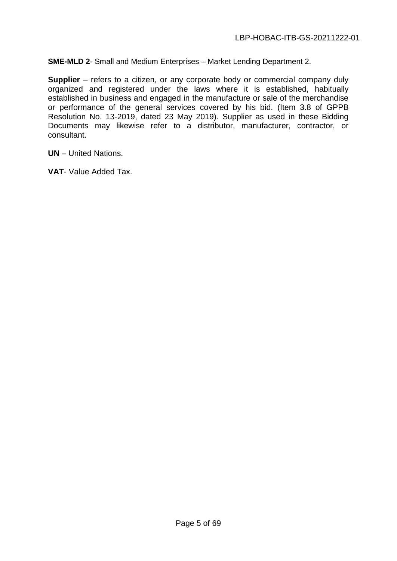**SME-MLD 2**- Small and Medium Enterprises – Market Lending Department 2.

**Supplier** – refers to a citizen, or any corporate body or commercial company duly organized and registered under the laws where it is established, habitually established in business and engaged in the manufacture or sale of the merchandise or performance of the general services covered by his bid. (Item 3.8 of GPPB Resolution No. 13-2019, dated 23 May 2019). Supplier as used in these Bidding Documents may likewise refer to a distributor, manufacturer, contractor, or consultant.

**UN** – United Nations.

**VAT**- Value Added Tax.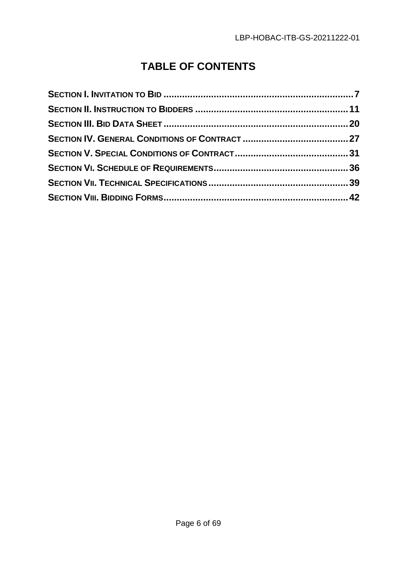## **TABLE OF CONTENTS**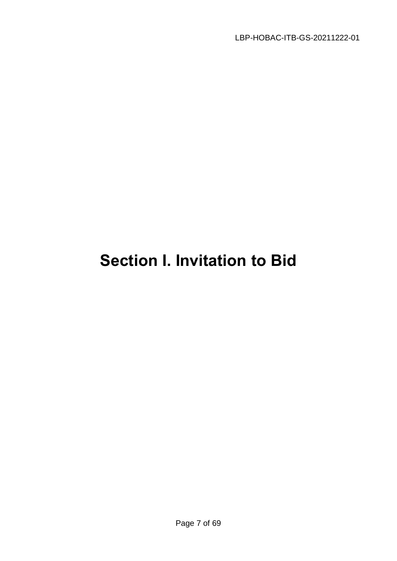## <span id="page-6-0"></span>**Section I. Invitation to Bid**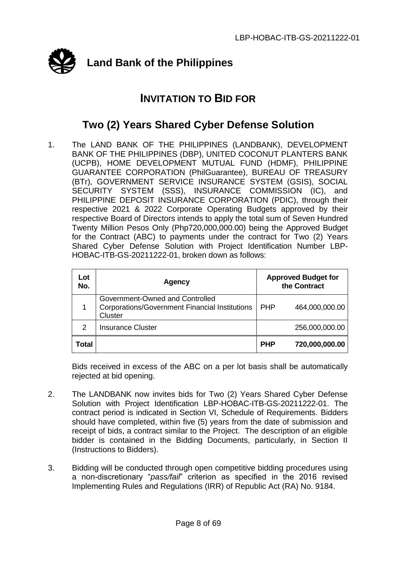

## **INVITATION TO BID FOR**

## **Two (2) Years Shared Cyber Defense Solution**

1. The LAND BANK OF THE PHILIPPINES (LANDBANK), DEVELOPMENT BANK OF THE PHILIPPINES (DBP), UNITED COCONUT PLANTERS BANK (UCPB), HOME DEVELOPMENT MUTUAL FUND (HDMF), PHILIPPINE GUARANTEE CORPORATION (PhilGuarantee), BUREAU OF TREASURY (BTr), GOVERNMENT SERVICE INSURANCE SYSTEM (GSIS), SOCIAL SECURITY SYSTEM (SSS), INSURANCE COMMISSION (IC), and PHILIPPINE DEPOSIT INSURANCE CORPORATION (PDIC), through their respective 2021 & 2022 Corporate Operating Budgets approved by their respective Board of Directors intends to apply the total sum of Seven Hundred Twenty Million Pesos Only (Php720,000,000.00) being the Approved Budget for the Contract (ABC) to payments under the contract for Two (2) Years Shared Cyber Defense Solution with Project Identification Number LBP-HOBAC-ITB-GS-20211222-01, broken down as follows:

| Lot<br>No. | Agency                                                                                              |            | <b>Approved Budget for</b><br>the Contract |
|------------|-----------------------------------------------------------------------------------------------------|------------|--------------------------------------------|
| 1          | Government-Owned and Controlled<br><b>Corporations/Government Financial Institutions</b><br>Cluster | <b>PHP</b> | 464,000,000.00                             |
| 2          | <b>Insurance Cluster</b>                                                                            |            | 256,000,000.00                             |
| Гоtal      |                                                                                                     | <b>PHP</b> | 720,000,000.00                             |

Bids received in excess of the ABC on a per lot basis shall be automatically rejected at bid opening.

- 2. The LANDBANK now invites bids for Two (2) Years Shared Cyber Defense Solution with Project Identification LBP-HOBAC-ITB-GS-20211222-01. The contract period is indicated in Section VI, Schedule of Requirements. Bidders should have completed, within five (5) years from the date of submission and receipt of bids, a contract similar to the Project. The description of an eligible bidder is contained in the Bidding Documents, particularly, in Section II (Instructions to Bidders).
- 3. Bidding will be conducted through open competitive bidding procedures using a non-discretionary "*pass/fail*" criterion as specified in the 2016 revised Implementing Rules and Regulations (IRR) of Republic Act (RA) No. 9184.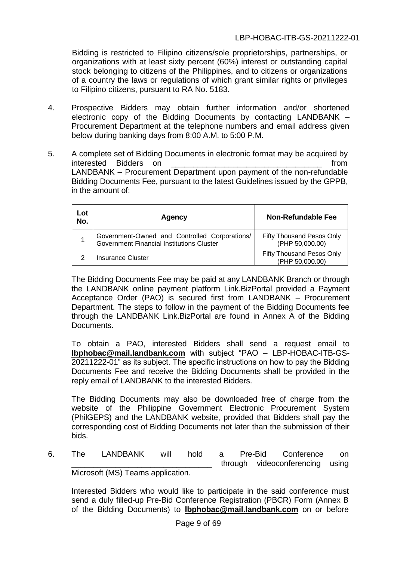Bidding is restricted to Filipino citizens/sole proprietorships, partnerships, or organizations with at least sixty percent (60%) interest or outstanding capital stock belonging to citizens of the Philippines, and to citizens or organizations of a country the laws or regulations of which grant similar rights or privileges to Filipino citizens, pursuant to RA No. 5183.

- 4. Prospective Bidders may obtain further information and/or shortened electronic copy of the Bidding Documents by contacting LANDBANK – Procurement Department at the telephone numbers and email address given below during banking days from 8:00 A.M. to 5:00 P.M.
- 5. A complete set of Bidding Documents in electronic format may be acquired by interested Bidders on **Example 20** interested Bidders on LANDBANK – Procurement Department upon payment of the non-refundable Bidding Documents Fee, pursuant to the latest Guidelines issued by the GPPB, in the amount of:

| Lot<br>No. | Agency                                                                                            | Non-Refundable Fee                                  |
|------------|---------------------------------------------------------------------------------------------------|-----------------------------------------------------|
|            | Government-Owned and Controlled Corporations/<br><b>Government Financial Institutions Cluster</b> | Fifty Thousand Pesos Only<br>(PHP 50,000.00)        |
|            | <b>Insurance Cluster</b>                                                                          | <b>Fifty Thousand Pesos Only</b><br>(PHP 50,000.00) |

The Bidding Documents Fee may be paid at any LANDBANK Branch or through the LANDBANK online payment platform Link.BizPortal provided a Payment Acceptance Order (PAO) is secured first from LANDBANK – Procurement Department. The steps to follow in the payment of the Bidding Documents fee through the LANDBANK Link.BizPortal are found in Annex A of the Bidding Documents.

To obtain a PAO, interested Bidders shall send a request email to **[lbphobac@mail.landbank.com](mailto:lbphobac@mail.landbank.com)** with subject "PAO – LBP-HOBAC-ITB-GS-20211222-01" as its subject. The specific instructions on how to pay the Bidding Documents Fee and receive the Bidding Documents shall be provided in the reply email of LANDBANK to the interested Bidders.

The Bidding Documents may also be downloaded free of charge from the website of the Philippine Government Electronic Procurement System (PhilGEPS) and the LANDBANK website, provided that Bidders shall pay the corresponding cost of Bidding Documents not later than the submission of their bids.

6. The LANDBANK will hold a Pre-Bid Conference on through videoconferencing using Microsoft (MS) Teams application.

Interested Bidders who would like to participate in the said conference must send a duly filled-up Pre-Bid Conference Registration (PBCR) Form (Annex B of the Bidding Documents) to **[lbphobac@mail.landbank.com](mailto:lbphobac@mail.landbank.com)** on or before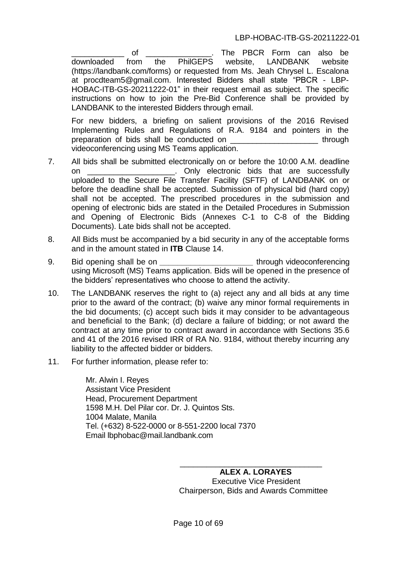of The PBCR Form can also be downloaded from the PhilGEPS website, LANDBANK website (https://landbank.com/forms) or requested from Ms. Jeah Chrysel L. Escalona at procdteam5@gmail.com. Interested Bidders shall state "PBCR - LBP-HOBAC-ITB-GS-20211222-01" in their request email as subject. The specific instructions on how to join the Pre-Bid Conference shall be provided by LANDBANK to the interested Bidders through email.

For new bidders, a briefing on salient provisions of the 2016 Revised Implementing Rules and Regulations of R.A. 9184 and pointers in the preparation of bids shall be conducted on **Example 2018** through videoconferencing using MS Teams application.

- 7. All bids shall be submitted electronically on or before the 10:00 A.M. deadline on \_\_\_\_\_\_\_\_\_\_\_\_\_\_\_\_\_\_\_\_\_. Only electronic bids that are successfully uploaded to the Secure File Transfer Facility (SFTF) of LANDBANK on or before the deadline shall be accepted. Submission of physical bid (hard copy) shall not be accepted. The prescribed procedures in the submission and opening of electronic bids are stated in the Detailed Procedures in Submission and Opening of Electronic Bids (Annexes C-1 to C-8 of the Bidding Documents). Late bids shall not be accepted.
- 8. All Bids must be accompanied by a bid security in any of the acceptable forms and in the amount stated in **ITB** Clause 14.
- 9. Bid opening shall be on *\_\_\_\_\_\_\_\_\_\_\_\_\_\_\_\_\_\_\_\_\_* through videoconferencing using Microsoft (MS) Teams application. Bids will be opened in the presence of the bidders' representatives who choose to attend the activity.
- 10. The LANDBANK reserves the right to (a) reject any and all bids at any time prior to the award of the contract; (b) waive any minor formal requirements in the bid documents; (c) accept such bids it may consider to be advantageous and beneficial to the Bank; (d) declare a failure of bidding; or not award the contract at any time prior to contract award in accordance with Sections 35.6 and 41 of the 2016 revised IRR of RA No. 9184, without thereby incurring any liability to the affected bidder or bidders.
- 11. For further information, please refer to:

Mr. Alwin I. Reyes Assistant Vice President Head, Procurement Department 1598 M.H. Del Pilar cor. Dr. J. Quintos Sts. 1004 Malate, Manila Tel. (+632) 8-522-0000 or 8-551-2200 local 7370 Email lbphobac@mail.landbank.com

> **ALEX A. LORAYES** Executive Vice President Chairperson, Bids and Awards Committee

\_\_\_\_\_\_\_\_\_\_\_\_\_\_\_\_\_\_\_\_\_\_\_\_\_\_\_\_\_\_\_\_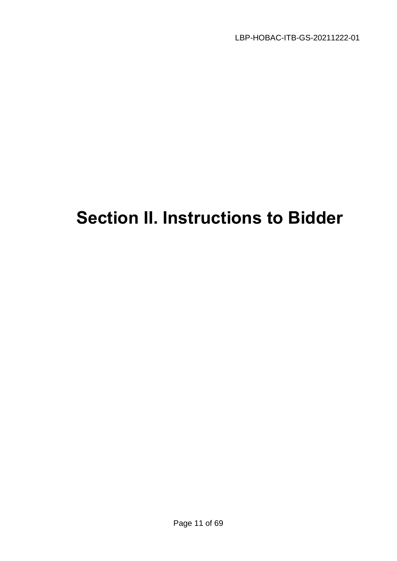# **Section II. Instructions to Bidder**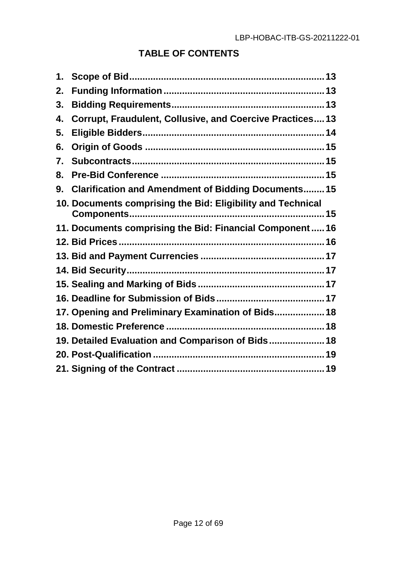## **TABLE OF CONTENTS**

| 1. |                                                                 |
|----|-----------------------------------------------------------------|
| 2. |                                                                 |
| 3. |                                                                 |
| 4. | <b>Corrupt, Fraudulent, Collusive, and Coercive Practices13</b> |
| 5. |                                                                 |
| 6. |                                                                 |
| 7. |                                                                 |
| 8. |                                                                 |
| 9. | <b>Clarification and Amendment of Bidding Documents15</b>       |
|    | 10. Documents comprising the Bid: Eligibility and Technical     |
|    | 11. Documents comprising the Bid: Financial Component16         |
|    |                                                                 |
|    |                                                                 |
|    |                                                                 |
|    |                                                                 |
|    |                                                                 |
|    | 17. Opening and Preliminary Examination of Bids 18              |
|    |                                                                 |
|    | 19. Detailed Evaluation and Comparison of Bids 18               |
|    |                                                                 |
|    |                                                                 |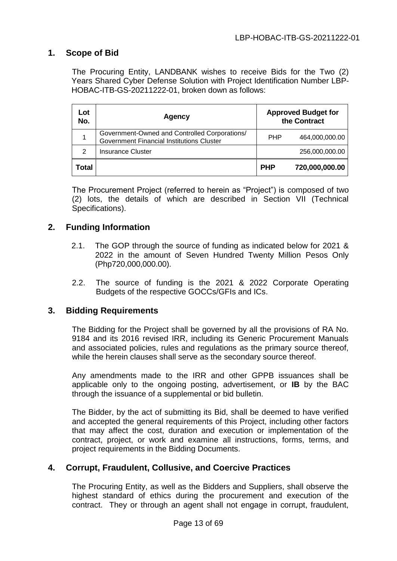#### <span id="page-12-0"></span>**1. Scope of Bid**

The Procuring Entity, LANDBANK wishes to receive Bids for the Two (2) Years Shared Cyber Defense Solution with Project Identification Number LBP-HOBAC-ITB-GS-20211222-01, broken down as follows:

| Lot<br>No.    | Agency                                                                                            | <b>Approved Budget for</b><br>the Contract |                |
|---------------|---------------------------------------------------------------------------------------------------|--------------------------------------------|----------------|
|               | Government-Owned and Controlled Corporations/<br><b>Government Financial Institutions Cluster</b> | <b>PHP</b>                                 | 464,000,000.00 |
| $\mathcal{P}$ | <b>Insurance Cluster</b>                                                                          |                                            | 256,000,000.00 |
| <b>Total</b>  |                                                                                                   | <b>PHP</b>                                 | 720,000,000.00 |

The Procurement Project (referred to herein as "Project") is composed of two (2) lots, the details of which are described in Section VII (Technical Specifications).

#### <span id="page-12-1"></span>**2. Funding Information**

- 2.1. The GOP through the source of funding as indicated below for 2021 & 2022 in the amount of Seven Hundred Twenty Million Pesos Only (Php720,000,000.00).
- 2.2. The source of funding is the 2021 & 2022 Corporate Operating Budgets of the respective GOCCs/GFIs and ICs.

#### <span id="page-12-2"></span>**3. Bidding Requirements**

The Bidding for the Project shall be governed by all the provisions of RA No. 9184 and its 2016 revised IRR, including its Generic Procurement Manuals and associated policies, rules and regulations as the primary source thereof, while the herein clauses shall serve as the secondary source thereof.

Any amendments made to the IRR and other GPPB issuances shall be applicable only to the ongoing posting, advertisement, or **IB** by the BAC through the issuance of a supplemental or bid bulletin.

The Bidder, by the act of submitting its Bid, shall be deemed to have verified and accepted the general requirements of this Project, including other factors that may affect the cost, duration and execution or implementation of the contract, project, or work and examine all instructions, forms, terms, and project requirements in the Bidding Documents.

#### <span id="page-12-3"></span>**4. Corrupt, Fraudulent, Collusive, and Coercive Practices**

The Procuring Entity, as well as the Bidders and Suppliers, shall observe the highest standard of ethics during the procurement and execution of the contract. They or through an agent shall not engage in corrupt, fraudulent,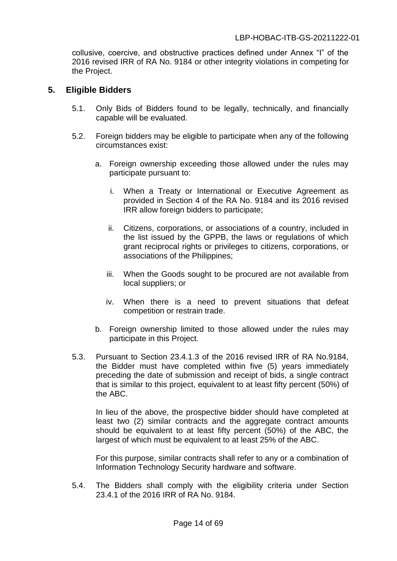collusive, coercive, and obstructive practices defined under Annex "I" of the 2016 revised IRR of RA No. 9184 or other integrity violations in competing for the Project.

#### <span id="page-13-0"></span>**5. Eligible Bidders**

- 5.1. Only Bids of Bidders found to be legally, technically, and financially capable will be evaluated.
- 5.2. Foreign bidders may be eligible to participate when any of the following circumstances exist:
	- a. Foreign ownership exceeding those allowed under the rules may participate pursuant to:
		- i. When a Treaty or International or Executive Agreement as provided in Section 4 of the RA No. 9184 and its 2016 revised IRR allow foreign bidders to participate;
		- ii. Citizens, corporations, or associations of a country, included in the list issued by the GPPB, the laws or regulations of which grant reciprocal rights or privileges to citizens, corporations, or associations of the Philippines;
		- iii. When the Goods sought to be procured are not available from local suppliers; or
		- iv. When there is a need to prevent situations that defeat competition or restrain trade.
	- b. Foreign ownership limited to those allowed under the rules may participate in this Project.
- 5.3. Pursuant to Section 23.4.1.3 of the 2016 revised IRR of RA No.9184, the Bidder must have completed within five (5) years immediately preceding the date of submission and receipt of bids, a single contract that is similar to this project, equivalent to at least fifty percent (50%) of the ABC.

In lieu of the above, the prospective bidder should have completed at least two (2) similar contracts and the aggregate contract amounts should be equivalent to at least fifty percent (50%) of the ABC, the largest of which must be equivalent to at least 25% of the ABC.

For this purpose, similar contracts shall refer to any or a combination of Information Technology Security hardware and software.

5.4. The Bidders shall comply with the eligibility criteria under Section 23.4.1 of the 2016 IRR of RA No. 9184.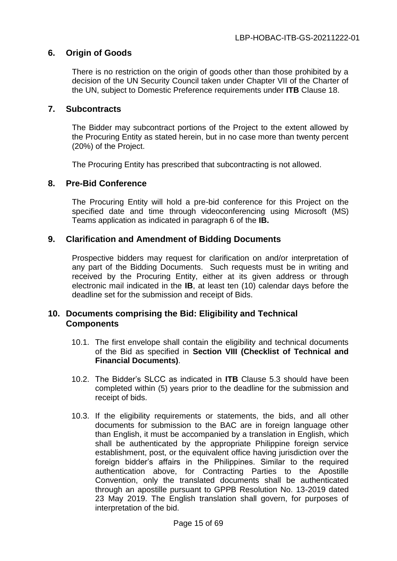#### <span id="page-14-0"></span>**6. Origin of Goods**

There is no restriction on the origin of goods other than those prohibited by a decision of the UN Security Council taken under Chapter VII of the Charter of the UN, subject to Domestic Preference requirements under **ITB** Clause 18.

#### <span id="page-14-1"></span>**7. Subcontracts**

The Bidder may subcontract portions of the Project to the extent allowed by the Procuring Entity as stated herein, but in no case more than twenty percent (20%) of the Project.

The Procuring Entity has prescribed that subcontracting is not allowed.

#### <span id="page-14-2"></span>**8. Pre-Bid Conference**

The Procuring Entity will hold a pre-bid conference for this Project on the specified date and time through videoconferencing using Microsoft (MS) Teams application as indicated in paragraph 6 of the **IB.**

#### <span id="page-14-3"></span>**9. Clarification and Amendment of Bidding Documents**

Prospective bidders may request for clarification on and/or interpretation of any part of the Bidding Documents. Such requests must be in writing and received by the Procuring Entity, either at its given address or through electronic mail indicated in the **IB**, at least ten (10) calendar days before the deadline set for the submission and receipt of Bids.

#### <span id="page-14-4"></span>**10. Documents comprising the Bid: Eligibility and Technical Components**

- 10.1. The first envelope shall contain the eligibility and technical documents of the Bid as specified in **Section VIII (Checklist of Technical and Financial Documents)**.
- 10.2. The Bidder's SLCC as indicated in **ITB** Clause 5.3 should have been completed within (5) years prior to the deadline for the submission and receipt of bids.
- 10.3. If the eligibility requirements or statements, the bids, and all other documents for submission to the BAC are in foreign language other than English, it must be accompanied by a translation in English, which shall be authenticated by the appropriate Philippine foreign service establishment, post, or the equivalent office having jurisdiction over the foreign bidder's affairs in the Philippines. Similar to the required authentication above, for Contracting Parties to the Apostille Convention, only the translated documents shall be authenticated through an apostille pursuant to GPPB Resolution No. 13-2019 dated 23 May 2019. The English translation shall govern, for purposes of interpretation of the bid.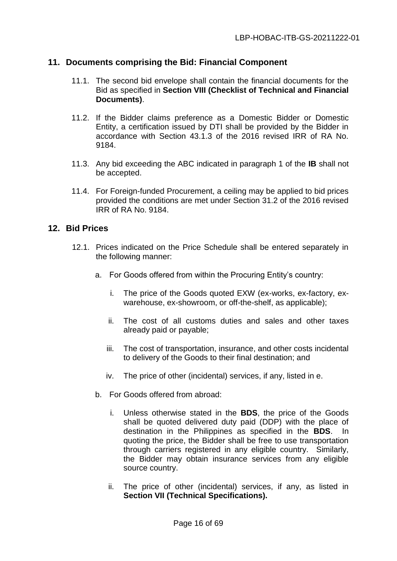#### <span id="page-15-0"></span>**11. Documents comprising the Bid: Financial Component**

- 11.1. The second bid envelope shall contain the financial documents for the Bid as specified in **Section VIII (Checklist of Technical and Financial Documents)**.
- 11.2. If the Bidder claims preference as a Domestic Bidder or Domestic Entity, a certification issued by DTI shall be provided by the Bidder in accordance with Section 43.1.3 of the 2016 revised IRR of RA No. 9184.
- 11.3. Any bid exceeding the ABC indicated in paragraph 1 of the **IB** shall not be accepted.
- 11.4. For Foreign-funded Procurement, a ceiling may be applied to bid prices provided the conditions are met under Section 31.2 of the 2016 revised IRR of RA No. 9184.

#### <span id="page-15-1"></span>**12. Bid Prices**

- 12.1. Prices indicated on the Price Schedule shall be entered separately in the following manner:
	- a. For Goods offered from within the Procuring Entity's country:
		- i. The price of the Goods quoted EXW (ex-works, ex-factory, exwarehouse, ex-showroom, or off-the-shelf, as applicable);
		- ii. The cost of all customs duties and sales and other taxes already paid or payable;
		- iii. The cost of transportation, insurance, and other costs incidental to delivery of the Goods to their final destination; and
		- iv. The price of other (incidental) services, if any, listed in e.
	- b. For Goods offered from abroad:
		- i. Unless otherwise stated in the **BDS**, the price of the Goods shall be quoted delivered duty paid (DDP) with the place of destination in the Philippines as specified in the **BDS**. In quoting the price, the Bidder shall be free to use transportation through carriers registered in any eligible country. Similarly, the Bidder may obtain insurance services from any eligible source country.
		- ii. The price of other (incidental) services, if any, as listed in **Section VII (Technical Specifications).**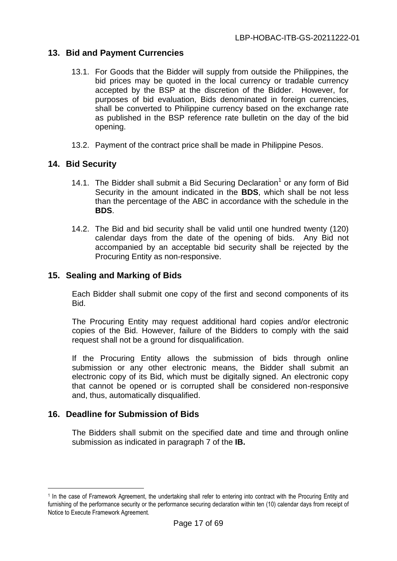#### <span id="page-16-0"></span>**13. Bid and Payment Currencies**

- 13.1. For Goods that the Bidder will supply from outside the Philippines, the bid prices may be quoted in the local currency or tradable currency accepted by the BSP at the discretion of the Bidder. However, for purposes of bid evaluation, Bids denominated in foreign currencies, shall be converted to Philippine currency based on the exchange rate as published in the BSP reference rate bulletin on the day of the bid opening.
- 13.2. Payment of the contract price shall be made in Philippine Pesos.

#### <span id="page-16-1"></span>**14. Bid Security**

- 14.1. The Bidder shall submit a Bid Securing Declaration<sup>1</sup> or any form of Bid Security in the amount indicated in the **BDS**, which shall be not less than the percentage of the ABC in accordance with the schedule in the **BDS**.
- 14.2. The Bid and bid security shall be valid until one hundred twenty (120) calendar days from the date of the opening of bids*.* Any Bid not accompanied by an acceptable bid security shall be rejected by the Procuring Entity as non-responsive.

#### <span id="page-16-2"></span>**15. Sealing and Marking of Bids**

Each Bidder shall submit one copy of the first and second components of its Bid.

The Procuring Entity may request additional hard copies and/or electronic copies of the Bid. However, failure of the Bidders to comply with the said request shall not be a ground for disqualification.

If the Procuring Entity allows the submission of bids through online submission or any other electronic means, the Bidder shall submit an electronic copy of its Bid, which must be digitally signed. An electronic copy that cannot be opened or is corrupted shall be considered non-responsive and, thus, automatically disqualified.

#### <span id="page-16-3"></span>**16. Deadline for Submission of Bids**

<u>.</u>

The Bidders shall submit on the specified date and time and through online submission as indicated in paragraph 7 of the **IB.** 

<sup>1</sup> In the case of Framework Agreement, the undertaking shall refer to entering into contract with the Procuring Entity and furnishing of the performance security or the performance securing declaration within ten (10) calendar days from receipt of Notice to Execute Framework Agreement.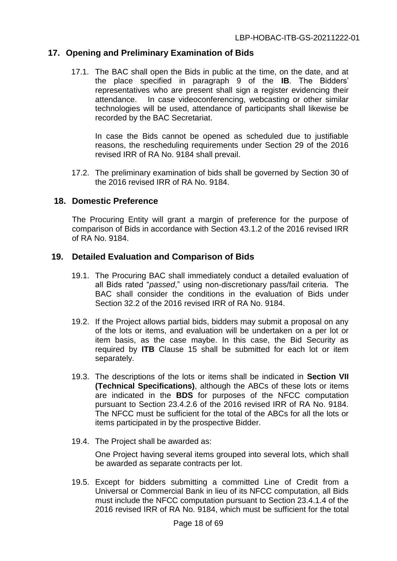#### <span id="page-17-0"></span>**17. Opening and Preliminary Examination of Bids**

17.1. The BAC shall open the Bids in public at the time, on the date, and at the place specified in paragraph 9 of the **IB**. The Bidders' representatives who are present shall sign a register evidencing their attendance. In case videoconferencing, webcasting or other similar technologies will be used, attendance of participants shall likewise be recorded by the BAC Secretariat.

In case the Bids cannot be opened as scheduled due to justifiable reasons, the rescheduling requirements under Section 29 of the 2016 revised IRR of RA No. 9184 shall prevail.

17.2. The preliminary examination of bids shall be governed by Section 30 of the 2016 revised IRR of RA No. 9184.

#### <span id="page-17-1"></span>**18. Domestic Preference**

The Procuring Entity will grant a margin of preference for the purpose of comparison of Bids in accordance with Section 43.1.2 of the 2016 revised IRR of RA No. 9184.

#### <span id="page-17-2"></span>**19. Detailed Evaluation and Comparison of Bids**

- 19.1. The Procuring BAC shall immediately conduct a detailed evaluation of all Bids rated "*passed*," using non-discretionary pass/fail criteria. The BAC shall consider the conditions in the evaluation of Bids under Section 32.2 of the 2016 revised IRR of RA No. 9184.
- 19.2. If the Project allows partial bids, bidders may submit a proposal on any of the lots or items, and evaluation will be undertaken on a per lot or item basis, as the case maybe. In this case, the Bid Security as required by **ITB** Clause 15 shall be submitted for each lot or item separately.
- 19.3. The descriptions of the lots or items shall be indicated in **Section VII (Technical Specifications)**, although the ABCs of these lots or items are indicated in the **BDS** for purposes of the NFCC computation pursuant to Section 23.4.2.6 of the 2016 revised IRR of RA No. 9184. The NFCC must be sufficient for the total of the ABCs for all the lots or items participated in by the prospective Bidder.
- 19.4. The Project shall be awarded as:

One Project having several items grouped into several lots, which shall be awarded as separate contracts per lot.

19.5. Except for bidders submitting a committed Line of Credit from a Universal or Commercial Bank in lieu of its NFCC computation, all Bids must include the NFCC computation pursuant to Section 23.4.1.4 of the 2016 revised IRR of RA No. 9184, which must be sufficient for the total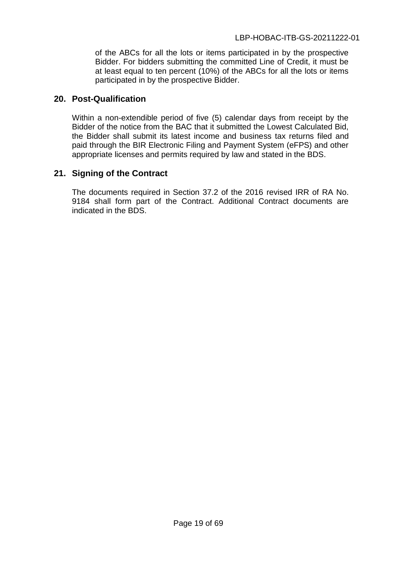of the ABCs for all the lots or items participated in by the prospective Bidder. For bidders submitting the committed Line of Credit, it must be at least equal to ten percent (10%) of the ABCs for all the lots or items participated in by the prospective Bidder.

#### <span id="page-18-0"></span>**20. Post-Qualification**

Within a non-extendible period of five (5) calendar days from receipt by the Bidder of the notice from the BAC that it submitted the Lowest Calculated Bid, the Bidder shall submit its latest income and business tax returns filed and paid through the BIR Electronic Filing and Payment System (eFPS) and other appropriate licenses and permits required by law and stated in the BDS.

#### <span id="page-18-1"></span>**21. Signing of the Contract**

The documents required in Section 37.2 of the 2016 revised IRR of RA No. 9184 shall form part of the Contract. Additional Contract documents are indicated in the BDS.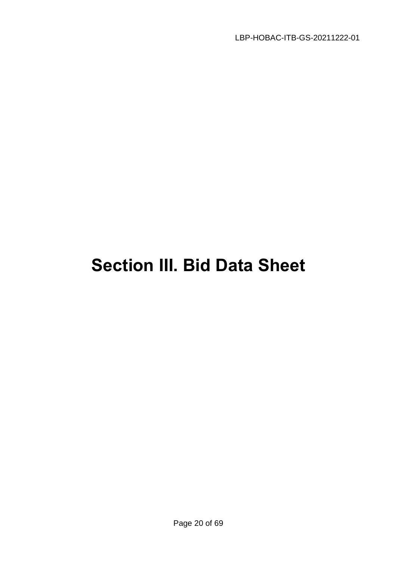# **Section III. Bid Data Sheet**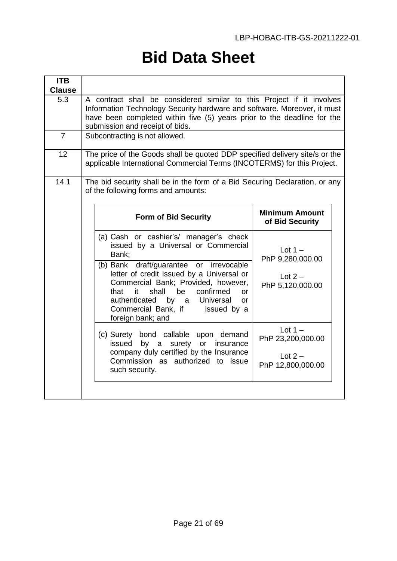## **Bid Data Sheet**

| <b>ITB</b><br><b>Clause</b> |                                                                                                                                                                                                                                                                                                   |                                                                 |
|-----------------------------|---------------------------------------------------------------------------------------------------------------------------------------------------------------------------------------------------------------------------------------------------------------------------------------------------|-----------------------------------------------------------------|
| 5.3<br>$\overline{7}$       | A contract shall be considered similar to this Project if it involves<br>Information Technology Security hardware and software. Moreover, it must<br>have been completed within five (5) years prior to the deadline for the<br>submission and receipt of bids.<br>Subcontracting is not allowed. |                                                                 |
|                             |                                                                                                                                                                                                                                                                                                   |                                                                 |
| 12                          | The price of the Goods shall be quoted DDP specified delivery site/s or the<br>applicable International Commercial Terms (INCOTERMS) for this Project.                                                                                                                                            |                                                                 |
| 14.1                        | The bid security shall be in the form of a Bid Securing Declaration, or any<br>of the following forms and amounts:                                                                                                                                                                                | <b>Minimum Amount</b>                                           |
|                             | <b>Form of Bid Security</b>                                                                                                                                                                                                                                                                       | of Bid Security                                                 |
|                             | (a) Cash or cashier's/ manager's check<br>issued by a Universal or Commercial<br>Bank;                                                                                                                                                                                                            | Lot $1 -$<br>PhP 9,280,000.00                                   |
|                             | (b) Bank draft/guarantee or irrevocable<br>letter of credit issued by a Universal or<br>Commercial Bank; Provided, however,<br>it<br>shall<br>be<br>confirmed<br>that<br>$\alpha$<br>authenticated by a Universal<br>$\alpha$<br>Commercial Bank, if issued by a<br>foreign bank; and             | Lot $2-$<br>PhP 5,120,000.00                                    |
|                             | (c) Surety bond callable upon demand<br>by a surety or insurance<br>issued<br>company duly certified by the Insurance<br>Commission as authorized to issue<br>such security.                                                                                                                      | Lot $1 -$<br>PhP 23,200,000.00<br>Lot $2-$<br>PhP 12,800,000.00 |
|                             |                                                                                                                                                                                                                                                                                                   |                                                                 |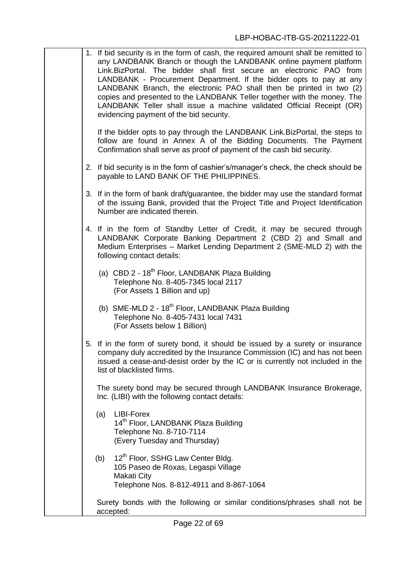|  | 1. If bid security is in the form of cash, the required amount shall be remitted to<br>any LANDBANK Branch or though the LANDBANK online payment platform<br>Link. BizPortal. The bidder shall first secure an electronic PAO from<br>LANDBANK - Procurement Department. If the bidder opts to pay at any<br>LANDBANK Branch, the electronic PAO shall then be printed in two (2)<br>copies and presented to the LANDBANK Teller together with the money. The<br>LANDBANK Teller shall issue a machine validated Official Receipt (OR)<br>evidencing payment of the bid security. |
|--|-----------------------------------------------------------------------------------------------------------------------------------------------------------------------------------------------------------------------------------------------------------------------------------------------------------------------------------------------------------------------------------------------------------------------------------------------------------------------------------------------------------------------------------------------------------------------------------|
|  | If the bidder opts to pay through the LANDBANK Link. BizPortal, the steps to<br>follow are found in Annex A of the Bidding Documents. The Payment<br>Confirmation shall serve as proof of payment of the cash bid security.                                                                                                                                                                                                                                                                                                                                                       |
|  | 2. If bid security is in the form of cashier's/manager's check, the check should be<br>payable to LAND BANK OF THE PHILIPPINES.                                                                                                                                                                                                                                                                                                                                                                                                                                                   |
|  | 3. If in the form of bank draft/guarantee, the bidder may use the standard format<br>of the issuing Bank, provided that the Project Title and Project Identification<br>Number are indicated therein.                                                                                                                                                                                                                                                                                                                                                                             |
|  | 4. If in the form of Standby Letter of Credit, it may be secured through<br>LANDBANK Corporate Banking Department 2 (CBD 2) and Small and<br>Medium Enterprises - Market Lending Department 2 (SME-MLD 2) with the<br>following contact details:                                                                                                                                                                                                                                                                                                                                  |
|  | (a) CBD 2 - 18 <sup>th</sup> Floor, LANDBANK Plaza Building<br>Telephone No. 8-405-7345 local 2117<br>(For Assets 1 Billion and up)                                                                                                                                                                                                                                                                                                                                                                                                                                               |
|  | (b) SME-MLD 2 - 18 <sup>th</sup> Floor, LANDBANK Plaza Building<br>Telephone No. 8-405-7431 local 7431<br>(For Assets below 1 Billion)                                                                                                                                                                                                                                                                                                                                                                                                                                            |
|  | 5. If in the form of surety bond, it should be issued by a surety or insurance<br>company duly accredited by the Insurance Commission (IC) and has not been<br>issued a cease-and-desist order by the IC or is currently not included in the<br>list of blacklisted firms.                                                                                                                                                                                                                                                                                                        |
|  | The surety bond may be secured through LANDBANK Insurance Brokerage,<br>Inc. (LIBI) with the following contact details:                                                                                                                                                                                                                                                                                                                                                                                                                                                           |
|  | (a)<br><b>LIBI-Forex</b><br>14th Floor, LANDBANK Plaza Building<br>Telephone No. 8-710-7114<br>(Every Tuesday and Thursday)                                                                                                                                                                                                                                                                                                                                                                                                                                                       |
|  | 12 <sup>th</sup> Floor, SSHG Law Center Bldg.<br>(b)<br>105 Paseo de Roxas, Legaspi Village<br><b>Makati City</b><br>Telephone Nos. 8-812-4911 and 8-867-1064                                                                                                                                                                                                                                                                                                                                                                                                                     |
|  | Surety bonds with the following or similar conditions/phrases shall not be<br>accepted:                                                                                                                                                                                                                                                                                                                                                                                                                                                                                           |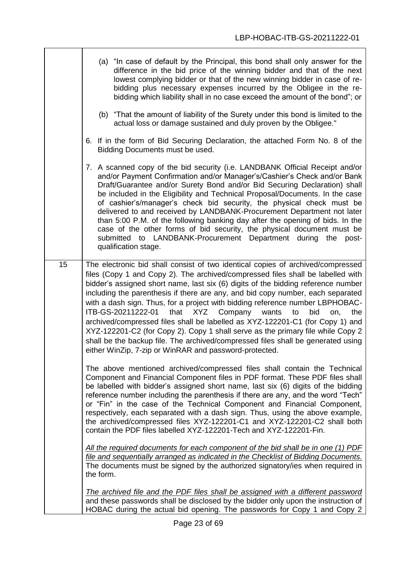$\overline{\mathbf{1}}$ 

|    | (a) "In case of default by the Principal, this bond shall only answer for the<br>difference in the bid price of the winning bidder and that of the next<br>lowest complying bidder or that of the new winning bidder in case of re-<br>bidding plus necessary expenses incurred by the Obligee in the re-<br>bidding which liability shall in no case exceed the amount of the bond"; or<br>(b) "That the amount of liability of the Surety under this bond is limited to the                                                                                                                                                                                                                                                                                                                                               |
|----|-----------------------------------------------------------------------------------------------------------------------------------------------------------------------------------------------------------------------------------------------------------------------------------------------------------------------------------------------------------------------------------------------------------------------------------------------------------------------------------------------------------------------------------------------------------------------------------------------------------------------------------------------------------------------------------------------------------------------------------------------------------------------------------------------------------------------------|
|    | actual loss or damage sustained and duly proven by the Obligee."                                                                                                                                                                                                                                                                                                                                                                                                                                                                                                                                                                                                                                                                                                                                                            |
|    | 6. If in the form of Bid Securing Declaration, the attached Form No. 8 of the<br>Bidding Documents must be used.                                                                                                                                                                                                                                                                                                                                                                                                                                                                                                                                                                                                                                                                                                            |
|    | 7. A scanned copy of the bid security (i.e. LANDBANK Official Receipt and/or<br>and/or Payment Confirmation and/or Manager's/Cashier's Check and/or Bank<br>Draft/Guarantee and/or Surety Bond and/or Bid Securing Declaration) shall<br>be included in the Eligibility and Technical Proposal/Documents. In the case<br>of cashier's/manager's check bid security, the physical check must be<br>delivered to and received by LANDBANK-Procurement Department not later<br>than 5:00 P.M. of the following banking day after the opening of bids. In the<br>case of the other forms of bid security, the physical document must be<br>submitted to LANDBANK-Procurement Department during<br>the<br>post-<br>qualification stage.                                                                                          |
| 15 | The electronic bid shall consist of two identical copies of archived/compressed<br>files (Copy 1 and Copy 2). The archived/compressed files shall be labelled with<br>bidder's assigned short name, last six (6) digits of the bidding reference number<br>including the parenthesis if there are any, and bid copy number, each separated<br>with a dash sign. Thus, for a project with bidding reference number LBPHOBAC-<br>ITB-GS-20211222-01<br>that XYZ Company<br>bid<br>wants<br>the<br>to<br>on,<br>archived/compressed files shall be labelled as XYZ-122201-C1 (for Copy 1) and<br>XYZ-122201-C2 (for Copy 2). Copy 1 shall serve as the primary file while Copy 2<br>shall be the backup file. The archived/compressed files shall be generated using<br>either WinZip, 7-zip or WinRAR and password-protected. |
|    | The above mentioned archived/compressed files shall contain the Technical<br>Component and Financial Component files in PDF format. These PDF files shall<br>be labelled with bidder's assigned short name, last six (6) digits of the bidding<br>reference number including the parenthesis if there are any, and the word "Tech"<br>or "Fin" in the case of the Technical Component and Financial Component,<br>respectively, each separated with a dash sign. Thus, using the above example,<br>the archived/compressed files XYZ-122201-C1 and XYZ-122201-C2 shall both<br>contain the PDF files labelled XYZ-122201-Tech and XYZ-122201-Fin.                                                                                                                                                                           |
|    | All the required documents for each component of the bid shall be in one (1) PDF<br>file and sequentially arranged as indicated in the Checklist of Bidding Documents.<br>The documents must be signed by the authorized signatory/ies when required in<br>the form.                                                                                                                                                                                                                                                                                                                                                                                                                                                                                                                                                        |
|    | The archived file and the PDF files shall be assigned with a different password<br>and these passwords shall be disclosed by the bidder only upon the instruction of<br>HOBAC during the actual bid opening. The passwords for Copy 1 and Copy 2                                                                                                                                                                                                                                                                                                                                                                                                                                                                                                                                                                            |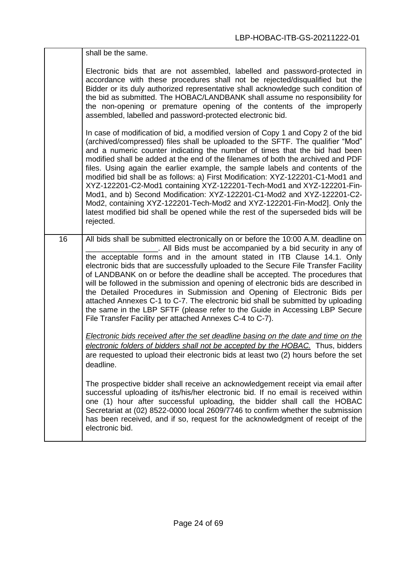shall be the same.

Electronic bids that are not assembled, labelled and password-protected in accordance with these procedures shall not be rejected/disqualified but the Bidder or its duly authorized representative shall acknowledge such condition of the bid as submitted. The HOBAC/LANDBANK shall assume no responsibility for the non-opening or premature opening of the contents of the improperly assembled, labelled and password-protected electronic bid.

In case of modification of bid, a modified version of Copy 1 and Copy 2 of the bid (archived/compressed) files shall be uploaded to the SFTF. The qualifier "Mod" and a numeric counter indicating the number of times that the bid had been modified shall be added at the end of the filenames of both the archived and PDF files. Using again the earlier example, the sample labels and contents of the modified bid shall be as follows: a) First Modification: XYZ-122201-C1-Mod1 and XYZ-122201-C2-Mod1 containing XYZ-122201-Tech-Mod1 and XYZ-122201-Fin-Mod1, and b) Second Modification: XYZ-122201-C1-Mod2 and XYZ-122201-C2- Mod2, containing XYZ-122201-Tech-Mod2 and XYZ-122201-Fin-Mod2]. Only the latest modified bid shall be opened while the rest of the superseded bids will be rejected.

16 All bids shall be submitted electronically on or before the 10:00 A.M. deadline on \_\_\_\_\_\_\_\_\_\_\_\_\_\_\_\_\_. All Bids must be accompanied by a bid security in any of the acceptable forms and in the amount stated in ITB Clause 14.1. Only electronic bids that are successfully uploaded to the Secure File Transfer Facility of LANDBANK on or before the deadline shall be accepted. The procedures that will be followed in the submission and opening of electronic bids are described in the Detailed Procedures in Submission and Opening of Electronic Bids per attached Annexes C-1 to C-7. The electronic bid shall be submitted by uploading the same in the LBP SFTF (please refer to the Guide in Accessing LBP Secure File Transfer Facility per attached Annexes C-4 to C-7).

*Electronic bids received after the set deadline basing on the date and time on the electronic folders of bidders shall not be accepted by the HOBAC.* Thus, bidders are requested to upload their electronic bids at least two (2) hours before the set deadline.

The prospective bidder shall receive an acknowledgement receipt via email after successful uploading of its/his/her electronic bid. If no email is received within one (1) hour after successful uploading, the bidder shall call the HOBAC Secretariat at (02) 8522-0000 local 2609/7746 to confirm whether the submission has been received, and if so, request for the acknowledgment of receipt of the electronic bid.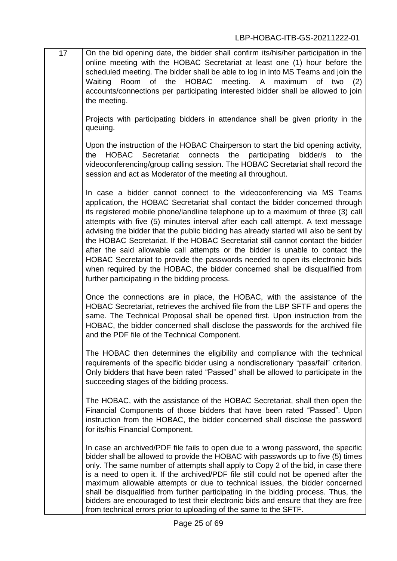17 | On the bid opening date, the bidder shall confirm its/his/her participation in the online meeting with the HOBAC Secretariat at least one (1) hour before the scheduled meeting. The bidder shall be able to log in into MS Teams and join the Waiting Room of the HOBAC meeting. A maximum of two (2) accounts/connections per participating interested bidder shall be allowed to join the meeting.

> Projects with participating bidders in attendance shall be given priority in the queuing.

> Upon the instruction of the HOBAC Chairperson to start the bid opening activity, the HOBAC Secretariat connects the participating bidder/s to the videoconferencing/group calling session. The HOBAC Secretariat shall record the session and act as Moderator of the meeting all throughout.

> In case a bidder cannot connect to the videoconferencing via MS Teams application, the HOBAC Secretariat shall contact the bidder concerned through its registered mobile phone/landline telephone up to a maximum of three (3) call attempts with five (5) minutes interval after each call attempt. A text message advising the bidder that the public bidding has already started will also be sent by the HOBAC Secretariat. If the HOBAC Secretariat still cannot contact the bidder after the said allowable call attempts or the bidder is unable to contact the HOBAC Secretariat to provide the passwords needed to open its electronic bids when required by the HOBAC, the bidder concerned shall be disqualified from further participating in the bidding process.

> Once the connections are in place, the HOBAC, with the assistance of the HOBAC Secretariat, retrieves the archived file from the LBP SFTF and opens the same. The Technical Proposal shall be opened first. Upon instruction from the HOBAC, the bidder concerned shall disclose the passwords for the archived file and the PDF file of the Technical Component.

> The HOBAC then determines the eligibility and compliance with the technical requirements of the specific bidder using a nondiscretionary "pass/fail" criterion. Only bidders that have been rated "Passed" shall be allowed to participate in the succeeding stages of the bidding process.

> The HOBAC, with the assistance of the HOBAC Secretariat, shall then open the Financial Components of those bidders that have been rated "Passed". Upon instruction from the HOBAC, the bidder concerned shall disclose the password for its/his Financial Component.

> In case an archived/PDF file fails to open due to a wrong password, the specific bidder shall be allowed to provide the HOBAC with passwords up to five (5) times only. The same number of attempts shall apply to Copy 2 of the bid, in case there is a need to open it. If the archived/PDF file still could not be opened after the maximum allowable attempts or due to technical issues, the bidder concerned shall be disqualified from further participating in the bidding process. Thus, the bidders are encouraged to test their electronic bids and ensure that they are free from technical errors prior to uploading of the same to the SFTF.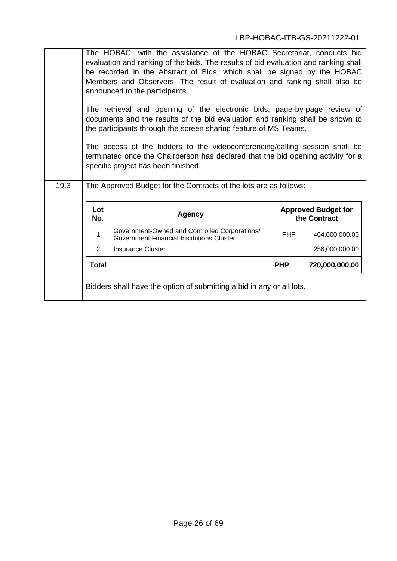|      |              | The HOBAC, with the assistance of the HOBAC Secretariat, conducts bid<br>evaluation and ranking of the bids. The results of bid evaluation and ranking shall<br>be recorded in the Abstract of Bids, which shall be signed by the HOBAC<br>Members and Observers. The result of evaluation and ranking shall also be<br>announced to the participants. |            |                                            |
|------|--------------|--------------------------------------------------------------------------------------------------------------------------------------------------------------------------------------------------------------------------------------------------------------------------------------------------------------------------------------------------------|------------|--------------------------------------------|
|      |              | The retrieval and opening of the electronic bids, page-by-page review of<br>documents and the results of the bid evaluation and ranking shall be shown to<br>the participants through the screen sharing feature of MS Teams.                                                                                                                          |            |                                            |
|      |              | The access of the bidders to the videoconferencing/calling session shall be<br>terminated once the Chairperson has declared that the bid opening activity for a<br>specific project has been finished.                                                                                                                                                 |            |                                            |
| 19.3 |              | The Approved Budget for the Contracts of the lots are as follows:                                                                                                                                                                                                                                                                                      |            |                                            |
|      | Lot<br>No.   | Agency                                                                                                                                                                                                                                                                                                                                                 |            | <b>Approved Budget for</b><br>the Contract |
|      |              | Government-Owned and Controlled Corporations/                                                                                                                                                                                                                                                                                                          | <b>PHP</b> | 464,000,000.00                             |
|      | 1            | Government Financial Institutions Cluster                                                                                                                                                                                                                                                                                                              |            |                                            |
|      | 2            | <b>Insurance Cluster</b>                                                                                                                                                                                                                                                                                                                               |            | 256,000,000.00                             |
|      | <b>Total</b> |                                                                                                                                                                                                                                                                                                                                                        | <b>PHP</b> | 720,000,000.00                             |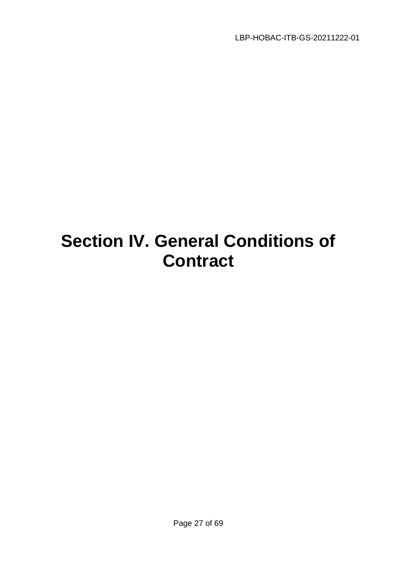# **Section IV. General Conditions of Contract**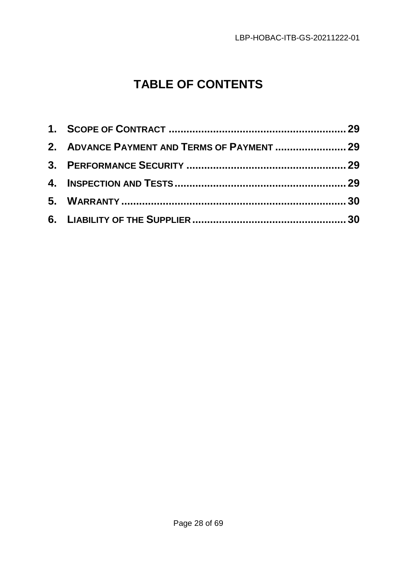## **TABLE OF CONTENTS**

| 2. ADVANCE PAYMENT AND TERMS OF PAYMENT  29 |  |
|---------------------------------------------|--|
|                                             |  |
|                                             |  |
|                                             |  |
|                                             |  |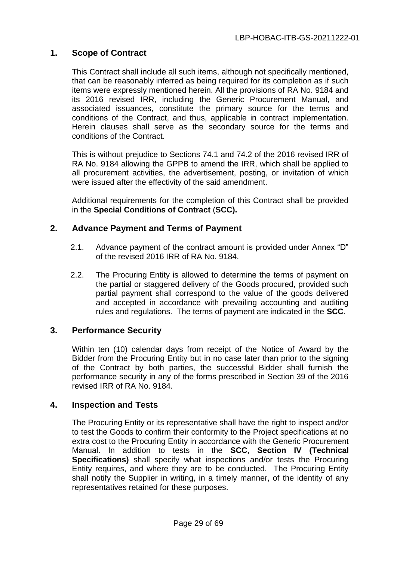#### **1. Scope of Contract**

This Contract shall include all such items, although not specifically mentioned, that can be reasonably inferred as being required for its completion as if such items were expressly mentioned herein. All the provisions of RA No. 9184 and its 2016 revised IRR, including the Generic Procurement Manual, and associated issuances, constitute the primary source for the terms and conditions of the Contract, and thus, applicable in contract implementation. Herein clauses shall serve as the secondary source for the terms and conditions of the Contract.

This is without prejudice to Sections 74.1 and 74.2 of the 2016 revised IRR of RA No. 9184 allowing the GPPB to amend the IRR, which shall be applied to all procurement activities, the advertisement, posting, or invitation of which were issued after the effectivity of the said amendment.

Additional requirements for the completion of this Contract shall be provided in the **Special Conditions of Contract** (**SCC).**

#### **2. Advance Payment and Terms of Payment**

- 2.1. Advance payment of the contract amount is provided under Annex "D" of the revised 2016 IRR of RA No. 9184.
- 2.2. The Procuring Entity is allowed to determine the terms of payment on the partial or staggered delivery of the Goods procured, provided such partial payment shall correspond to the value of the goods delivered and accepted in accordance with prevailing accounting and auditing rules and regulations. The terms of payment are indicated in the **SCC**.

#### **3. Performance Security**

Within ten (10) calendar days from receipt of the Notice of Award by the Bidder from the Procuring Entity but in no case later than prior to the signing of the Contract by both parties, the successful Bidder shall furnish the performance security in any of the forms prescribed in Section 39 of the 2016 revised IRR of RA No. 9184.

#### **4. Inspection and Tests**

The Procuring Entity or its representative shall have the right to inspect and/or to test the Goods to confirm their conformity to the Project specifications at no extra cost to the Procuring Entity in accordance with the Generic Procurement Manual. In addition to tests in the **SCC**, **Section IV (Technical Specifications)** shall specify what inspections and/or tests the Procuring Entity requires, and where they are to be conducted. The Procuring Entity shall notify the Supplier in writing, in a timely manner, of the identity of any representatives retained for these purposes.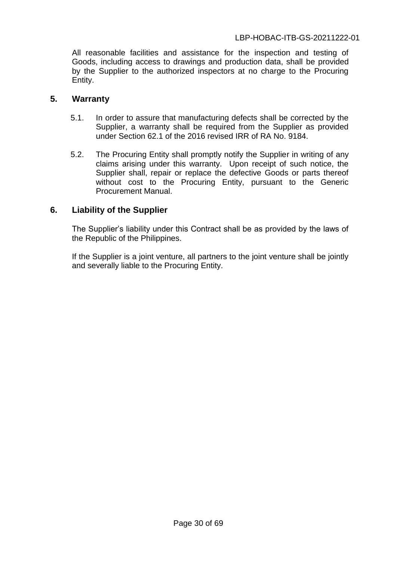All reasonable facilities and assistance for the inspection and testing of Goods, including access to drawings and production data, shall be provided by the Supplier to the authorized inspectors at no charge to the Procuring Entity.

#### **5. Warranty**

- 5.1. In order to assure that manufacturing defects shall be corrected by the Supplier, a warranty shall be required from the Supplier as provided under Section 62.1 of the 2016 revised IRR of RA No. 9184.
- 5.2. The Procuring Entity shall promptly notify the Supplier in writing of any claims arising under this warranty. Upon receipt of such notice, the Supplier shall, repair or replace the defective Goods or parts thereof without cost to the Procuring Entity, pursuant to the Generic Procurement Manual.

#### **6. Liability of the Supplier**

The Supplier's liability under this Contract shall be as provided by the laws of the Republic of the Philippines.

If the Supplier is a joint venture, all partners to the joint venture shall be jointly and severally liable to the Procuring Entity.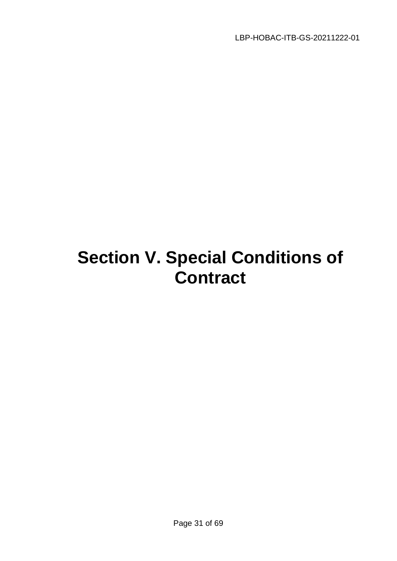LBP-HOBAC-ITB-GS-20211222-01

# **Section V. Special Conditions of Contract**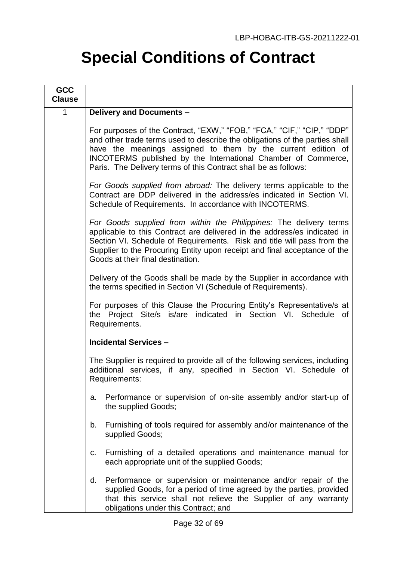## **Special Conditions of Contract**

| <b>GCC</b><br><b>Clause</b> |                                                                                                                                                                                                                                                                                                                                                           |
|-----------------------------|-----------------------------------------------------------------------------------------------------------------------------------------------------------------------------------------------------------------------------------------------------------------------------------------------------------------------------------------------------------|
| 1                           | Delivery and Documents -                                                                                                                                                                                                                                                                                                                                  |
|                             | For purposes of the Contract, "EXW," "FOB," "FCA," "CIF," "CIP," "DDP"<br>and other trade terms used to describe the obligations of the parties shall<br>have the meanings assigned to them by the current edition of<br>INCOTERMS published by the International Chamber of Commerce,<br>Paris. The Delivery terms of this Contract shall be as follows: |
|                             | For Goods supplied from abroad: The delivery terms applicable to the<br>Contract are DDP delivered in the address/es indicated in Section VI.<br>Schedule of Requirements. In accordance with INCOTERMS.                                                                                                                                                  |
|                             | For Goods supplied from within the Philippines: The delivery terms<br>applicable to this Contract are delivered in the address/es indicated in<br>Section VI. Schedule of Requirements. Risk and title will pass from the<br>Supplier to the Procuring Entity upon receipt and final acceptance of the<br>Goods at their final destination.               |
|                             | Delivery of the Goods shall be made by the Supplier in accordance with<br>the terms specified in Section VI (Schedule of Requirements).                                                                                                                                                                                                                   |
|                             | For purposes of this Clause the Procuring Entity's Representative/s at<br>the Project Site/s is/are indicated in Section VI. Schedule of<br>Requirements.                                                                                                                                                                                                 |
|                             | <b>Incidental Services -</b>                                                                                                                                                                                                                                                                                                                              |
|                             | The Supplier is required to provide all of the following services, including<br>additional services, if any, specified in Section VI. Schedule of<br>Requirements:                                                                                                                                                                                        |
|                             | Performance or supervision of on-site assembly and/or start-up of<br>a.<br>the supplied Goods;                                                                                                                                                                                                                                                            |
|                             | Furnishing of tools required for assembly and/or maintenance of the<br>b.<br>supplied Goods;                                                                                                                                                                                                                                                              |
|                             | Furnishing of a detailed operations and maintenance manual for<br>C.<br>each appropriate unit of the supplied Goods;                                                                                                                                                                                                                                      |
|                             | Performance or supervision or maintenance and/or repair of the<br>d.<br>supplied Goods, for a period of time agreed by the parties, provided<br>that this service shall not relieve the Supplier of any warranty<br>obligations under this Contract; and                                                                                                  |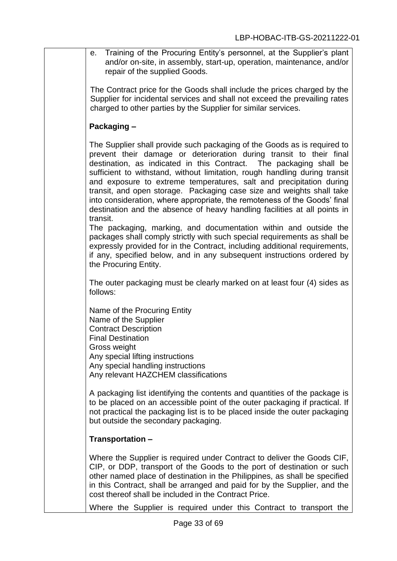e. Training of the Procuring Entity's personnel, at the Supplier's plant and/or on-site, in assembly, start-up, operation, maintenance, and/or repair of the supplied Goods.

The Contract price for the Goods shall include the prices charged by the Supplier for incidental services and shall not exceed the prevailing rates charged to other parties by the Supplier for similar services.

#### **Packaging –**

The Supplier shall provide such packaging of the Goods as is required to prevent their damage or deterioration during transit to their final destination, as indicated in this Contract. The packaging shall be sufficient to withstand, without limitation, rough handling during transit and exposure to extreme temperatures, salt and precipitation during transit, and open storage. Packaging case size and weights shall take into consideration, where appropriate, the remoteness of the Goods' final destination and the absence of heavy handling facilities at all points in transit.

The packaging, marking, and documentation within and outside the packages shall comply strictly with such special requirements as shall be expressly provided for in the Contract, including additional requirements, if any, specified below, and in any subsequent instructions ordered by the Procuring Entity.

The outer packaging must be clearly marked on at least four (4) sides as follows:

Name of the Procuring Entity Name of the Supplier Contract Description Final Destination Gross weight Any special lifting instructions Any special handling instructions Any relevant HAZCHEM classifications

A packaging list identifying the contents and quantities of the package is to be placed on an accessible point of the outer packaging if practical. If not practical the packaging list is to be placed inside the outer packaging but outside the secondary packaging.

#### **Transportation –**

Where the Supplier is required under Contract to deliver the Goods CIF, CIP, or DDP, transport of the Goods to the port of destination or such other named place of destination in the Philippines, as shall be specified in this Contract, shall be arranged and paid for by the Supplier, and the cost thereof shall be included in the Contract Price.

Where the Supplier is required under this Contract to transport the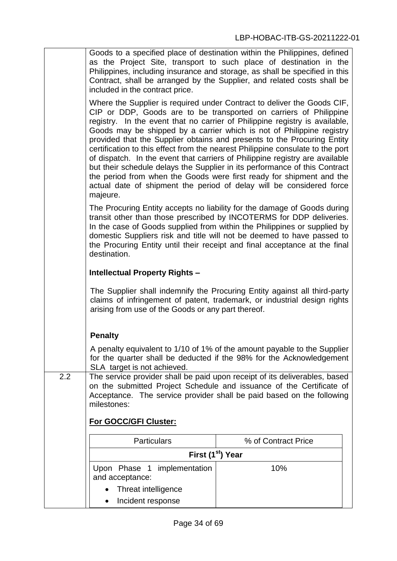| Goods to a specified place of destination within the Philippines, defined   |
|-----------------------------------------------------------------------------|
| as the Project Site, transport to such place of destination in the          |
| Philippines, including insurance and storage, as shall be specified in this |
| Contract, shall be arranged by the Supplier, and related costs shall be     |
| included in the contract price.                                             |

Where the Supplier is required under Contract to deliver the Goods CIF, CIP or DDP, Goods are to be transported on carriers of Philippine registry. In the event that no carrier of Philippine registry is available, Goods may be shipped by a carrier which is not of Philippine registry provided that the Supplier obtains and presents to the Procuring Entity certification to this effect from the nearest Philippine consulate to the port of dispatch. In the event that carriers of Philippine registry are available but their schedule delays the Supplier in its performance of this Contract the period from when the Goods were first ready for shipment and the actual date of shipment the period of delay will be considered force majeure.

The Procuring Entity accepts no liability for the damage of Goods during transit other than those prescribed by INCOTERMS for DDP deliveries. In the case of Goods supplied from within the Philippines or supplied by domestic Suppliers risk and title will not be deemed to have passed to the Procuring Entity until their receipt and final acceptance at the final destination.

#### **Intellectual Property Rights –**

The Supplier shall indemnify the Procuring Entity against all third-party claims of infringement of patent, trademark, or industrial design rights arising from use of the Goods or any part thereof.

#### **Penalty**

A penalty equivalent to 1/10 of 1% of the amount payable to the Supplier for the quarter shall be deducted if the 98% for the Acknowledgement SLA target is not achieved.

2.2 The service provider shall be paid upon receipt of its deliverables, based on the submitted Project Schedule and issuance of the Certificate of Acceptance. The service provider shall be paid based on the following milestones:

#### **For GOCC/GFI Cluster:**

| <b>Particulars</b>                             | % of Contract Price |  |  |
|------------------------------------------------|---------------------|--|--|
| First (1 <sup>st</sup> ) Year                  |                     |  |  |
| Upon Phase 1 implementation<br>and acceptance: | 10%                 |  |  |
| • Threat intelligence                          |                     |  |  |
| • Incident response                            |                     |  |  |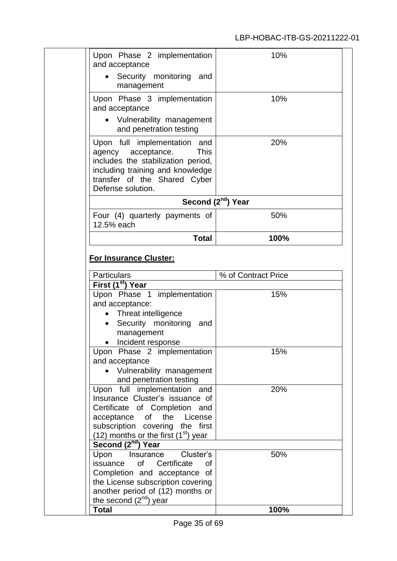| Upon Phase 2 implementation<br>and acceptance                                                                                                                                                       | 10%                            |
|-----------------------------------------------------------------------------------------------------------------------------------------------------------------------------------------------------|--------------------------------|
| Security monitoring and<br>management                                                                                                                                                               |                                |
| Upon Phase 3 implementation<br>and acceptance                                                                                                                                                       | 10%                            |
| • Vulnerability management<br>and penetration testing                                                                                                                                               |                                |
| Upon full implementation<br>and<br><b>This</b><br>agency acceptance.<br>includes the stabilization period,<br>including training and knowledge<br>transfer of the Shared Cyber<br>Defense solution. | 20%                            |
|                                                                                                                                                                                                     | Second (2 <sup>nd</sup> ) Year |
| Four (4) quarterly payments of<br>12.5% each                                                                                                                                                        | 50%                            |
| <b>Total</b>                                                                                                                                                                                        | 100%                           |
| First (1 <sup>st</sup> ) Year                                                                                                                                                                       |                                |
| Upon Phase 1 implementation                                                                                                                                                                         | 15%                            |
| and acceptance:                                                                                                                                                                                     |                                |
| Threat intelligence<br>Security monitoring and                                                                                                                                                      |                                |
|                                                                                                                                                                                                     |                                |
|                                                                                                                                                                                                     |                                |
| management<br>Incident response                                                                                                                                                                     |                                |
| Upon Phase 2 implementation                                                                                                                                                                         | 15%                            |
| and acceptance                                                                                                                                                                                      |                                |
| • Vulnerability management                                                                                                                                                                          |                                |
| and penetration testing                                                                                                                                                                             |                                |
| Upon full implementation and<br>Insurance Cluster's issuance of                                                                                                                                     | 20%                            |
| Certificate of Completion and                                                                                                                                                                       |                                |
| License<br>acceptance<br>the<br>οf                                                                                                                                                                  |                                |
| subscription covering the first                                                                                                                                                                     |                                |
| (12) months or the first $(1st)$ year                                                                                                                                                               |                                |
| Second (2 <sup>nd</sup> ) Year                                                                                                                                                                      |                                |
| Cluster's<br>Upon<br>Insurance<br>of<br>Certificate<br>οf                                                                                                                                           | 50%                            |
| issuance<br>Completion and acceptance of                                                                                                                                                            |                                |
| the License subscription covering                                                                                                                                                                   |                                |
| another period of (12) months or                                                                                                                                                                    |                                |
| the second $(2^{nd})$ year<br><b>Total</b>                                                                                                                                                          | 100%                           |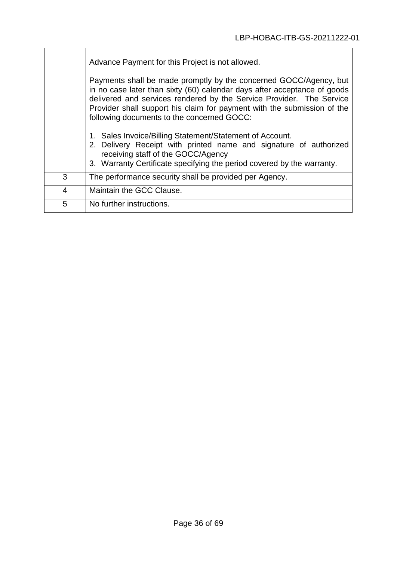|                | Advance Payment for this Project is not allowed.                                                                                                                                                                                                                                                                                               |  |  |  |  |  |  |  |  |
|----------------|------------------------------------------------------------------------------------------------------------------------------------------------------------------------------------------------------------------------------------------------------------------------------------------------------------------------------------------------|--|--|--|--|--|--|--|--|
|                | Payments shall be made promptly by the concerned GOCC/Agency, but<br>in no case later than sixty (60) calendar days after acceptance of goods<br>delivered and services rendered by the Service Provider. The Service<br>Provider shall support his claim for payment with the submission of the<br>following documents to the concerned GOCC: |  |  |  |  |  |  |  |  |
|                | 1. Sales Invoice/Billing Statement/Statement of Account.<br>2. Delivery Receipt with printed name and signature of authorized<br>receiving staff of the GOCC/Agency<br>3. Warranty Certificate specifying the period covered by the warranty.                                                                                                  |  |  |  |  |  |  |  |  |
| 3              | The performance security shall be provided per Agency.                                                                                                                                                                                                                                                                                         |  |  |  |  |  |  |  |  |
| $\overline{4}$ | Maintain the GCC Clause.                                                                                                                                                                                                                                                                                                                       |  |  |  |  |  |  |  |  |
| 5              | No further instructions.                                                                                                                                                                                                                                                                                                                       |  |  |  |  |  |  |  |  |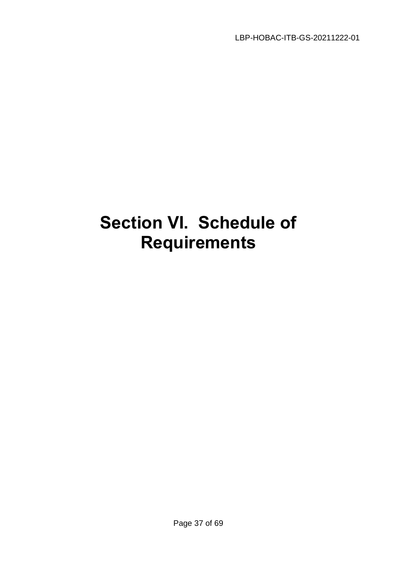# **Section VI. Schedule of Requirements**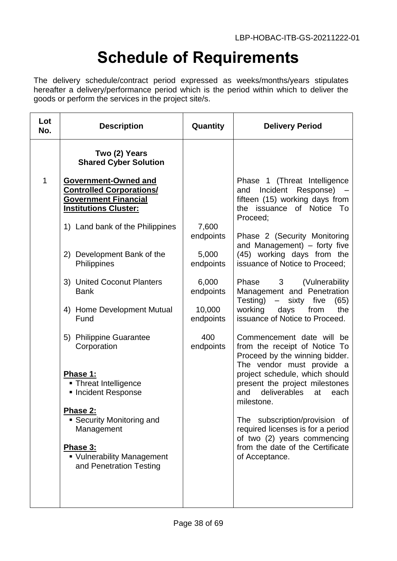## **Schedule of Requirements**

The delivery schedule/contract period expressed as weeks/months/years stipulates hereafter a delivery/performance period which is the period within which to deliver the goods or perform the services in the project site/s.

| Lot<br>No. | <b>Description</b>                                                                                                     | Quantity            | <b>Delivery Period</b>                                                                                                                  |
|------------|------------------------------------------------------------------------------------------------------------------------|---------------------|-----------------------------------------------------------------------------------------------------------------------------------------|
|            | Two (2) Years<br><b>Shared Cyber Solution</b>                                                                          |                     |                                                                                                                                         |
| 1          | Government-Owned and<br><b>Controlled Corporations/</b><br><b>Government Financial</b><br><b>Institutions Cluster:</b> |                     | Phase 1 (Threat Intelligence<br>Incident<br>Response)<br>and<br>fifteen (15) working days from<br>the issuance of Notice To<br>Proceed; |
|            | 1) Land bank of the Philippines                                                                                        | 7,600<br>endpoints  | Phase 2 (Security Monitoring                                                                                                            |
|            | 2) Development Bank of the<br>Philippines                                                                              | 5,000<br>endpoints  | and Management) - forty five<br>(45) working days from the<br>issuance of Notice to Proceed;                                            |
|            | 3) United Coconut Planters<br><b>Bank</b>                                                                              | 6,000<br>endpoints  | Phase 3<br>(Vulnerability)<br>Management and Penetration<br>Testing)<br>- sixty five<br>(65)                                            |
|            | 4) Home Development Mutual<br>Fund                                                                                     | 10,000<br>endpoints | working<br>days<br>the<br>from<br>issuance of Notice to Proceed.                                                                        |
|            | 5) Philippine Guarantee<br>Corporation                                                                                 | 400<br>endpoints    | Commencement date will be<br>from the receipt of Notice To<br>Proceed by the winning bidder.<br>The vendor must provide a               |
|            | Phase 1:<br>• Threat Intelligence<br>Incident Response                                                                 |                     | project schedule, which should<br>present the project milestones<br>deliverables<br>and<br>at<br>each<br>milestone.                     |
|            | Phase 2:<br>• Security Monitoring and<br>Management                                                                    |                     | The subscription/provision of<br>required licenses is for a period<br>of two (2) years commencing                                       |
|            | Phase 3:<br>• Vulnerability Management<br>and Penetration Testing                                                      |                     | from the date of the Certificate<br>of Acceptance.                                                                                      |
|            |                                                                                                                        |                     |                                                                                                                                         |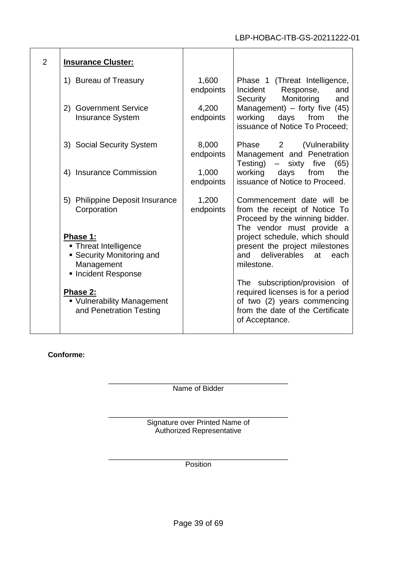| 2 | <b>Insurance Cluster:</b>                                                                         |                    |                                                                                                                                                         |
|---|---------------------------------------------------------------------------------------------------|--------------------|---------------------------------------------------------------------------------------------------------------------------------------------------------|
|   | 1) Bureau of Treasury                                                                             | 1,600<br>endpoints | Phase 1 (Threat Intelligence,<br>Incident<br>Response,<br>and<br>Monitoring<br>Security<br>and                                                          |
|   | 2) Government Service<br><b>Insurance System</b>                                                  | 4,200<br>endpoints | Management) $-$ forty five (45)<br>working days from<br>the<br>issuance of Notice To Proceed;                                                           |
|   | 3) Social Security System                                                                         | 8,000<br>endpoints | Phase<br>(Vulnerability)<br>$\overline{\phantom{a}}$ 2<br>Management and Penetration<br>Testing)<br>sixty<br>five<br>$\overline{\phantom{0}}$<br>(65)   |
|   | 4) Insurance Commission                                                                           | 1,000<br>endpoints | working<br>days<br>from<br>the<br>issuance of Notice to Proceed.                                                                                        |
|   | 5) Philippine Deposit Insurance<br>Corporation                                                    | 1,200<br>endpoints | Commencement date will be<br>from the receipt of Notice To<br>Proceed by the winning bidder.<br>The vendor must provide a                               |
|   | Phase 1:<br>• Threat Intelligence<br>• Security Monitoring and<br>Management<br>Incident Response |                    | project schedule, which should<br>present the project milestones<br>and deliverables<br>at<br>each<br>milestone.                                        |
|   | Phase 2:<br>• Vulnerability Management<br>and Penetration Testing                                 |                    | The subscription/provision of<br>required licenses is for a period<br>of two (2) years commencing<br>from the date of the Certificate<br>of Acceptance. |

**Conforme:**

\_\_\_\_\_\_\_\_\_\_\_\_\_\_\_\_\_\_\_\_\_\_\_\_\_\_\_\_\_\_\_\_\_\_\_\_\_\_\_\_\_\_\_\_ Name of Bidder

\_\_\_\_\_\_\_\_\_\_\_\_\_\_\_\_\_\_\_\_\_\_\_\_\_\_\_\_\_\_\_\_\_\_\_\_\_\_\_\_\_\_\_\_ Signature over Printed Name of Authorized Representative

\_\_\_\_\_\_\_\_\_\_\_\_\_\_\_\_\_\_\_\_\_\_\_\_\_\_\_\_\_\_\_\_\_\_\_\_\_\_\_\_\_\_\_\_ **Position**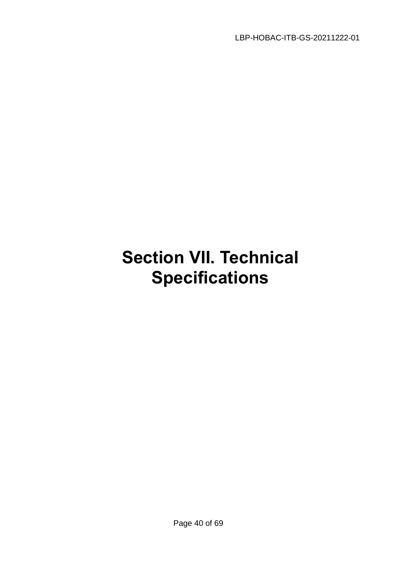# **Section VII. Technical Specifications**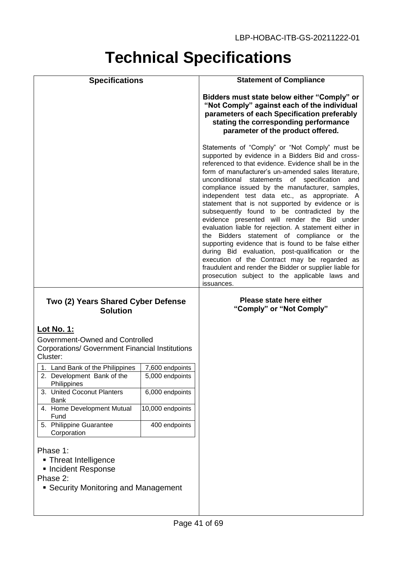## **Technical Specifications**

| <b>Specifications</b>                                                                                               |                  | <b>Statement of Compliance</b>                                                                                                                                                                                                                                                                                                                                                                                                                                                                                                                                                                                                                                                                                                                                                                                                                                                                                                  |
|---------------------------------------------------------------------------------------------------------------------|------------------|---------------------------------------------------------------------------------------------------------------------------------------------------------------------------------------------------------------------------------------------------------------------------------------------------------------------------------------------------------------------------------------------------------------------------------------------------------------------------------------------------------------------------------------------------------------------------------------------------------------------------------------------------------------------------------------------------------------------------------------------------------------------------------------------------------------------------------------------------------------------------------------------------------------------------------|
|                                                                                                                     |                  | Bidders must state below either "Comply" or<br>"Not Comply" against each of the individual<br>parameters of each Specification preferably<br>stating the corresponding performance<br>parameter of the product offered.                                                                                                                                                                                                                                                                                                                                                                                                                                                                                                                                                                                                                                                                                                         |
|                                                                                                                     |                  | Statements of "Comply" or "Not Comply" must be<br>supported by evidence in a Bidders Bid and cross-<br>referenced to that evidence. Evidence shall be in the<br>form of manufacturer's un-amended sales literature,<br>unconditional statements of specification<br>and<br>compliance issued by the manufacturer, samples,<br>independent test data etc., as appropriate. A<br>statement that is not supported by evidence or is<br>subsequently found to be contradicted by the<br>evidence presented will render the Bid under<br>evaluation liable for rejection. A statement either in<br>the Bidders statement of compliance or the<br>supporting evidence that is found to be false either<br>during Bid evaluation, post-qualification or the<br>execution of the Contract may be regarded as<br>fraudulent and render the Bidder or supplier liable for<br>prosecution subject to the applicable laws and<br>issuances. |
| Two (2) Years Shared Cyber Defense<br><b>Solution</b>                                                               |                  | Please state here either<br>"Comply" or "Not Comply"                                                                                                                                                                                                                                                                                                                                                                                                                                                                                                                                                                                                                                                                                                                                                                                                                                                                            |
| <b>Lot No. 1:</b><br>Government-Owned and Controlled<br>Corporations/ Government Financial Institutions<br>Cluster: |                  |                                                                                                                                                                                                                                                                                                                                                                                                                                                                                                                                                                                                                                                                                                                                                                                                                                                                                                                                 |
| Land Bank of the Philippines                                                                                        | 7,600 endpoints  |                                                                                                                                                                                                                                                                                                                                                                                                                                                                                                                                                                                                                                                                                                                                                                                                                                                                                                                                 |
| 2. Development Bank of the<br>Philippines                                                                           | 5,000 endpoints  |                                                                                                                                                                                                                                                                                                                                                                                                                                                                                                                                                                                                                                                                                                                                                                                                                                                                                                                                 |
| 3. United Coconut Planters<br><b>Bank</b>                                                                           | 6,000 endpoints  |                                                                                                                                                                                                                                                                                                                                                                                                                                                                                                                                                                                                                                                                                                                                                                                                                                                                                                                                 |
| 4. Home Development Mutual<br>Fund                                                                                  | 10,000 endpoints |                                                                                                                                                                                                                                                                                                                                                                                                                                                                                                                                                                                                                                                                                                                                                                                                                                                                                                                                 |
| 5. Philippine Guarantee<br>Corporation                                                                              | 400 endpoints    |                                                                                                                                                                                                                                                                                                                                                                                                                                                                                                                                                                                                                                                                                                                                                                                                                                                                                                                                 |
| Phase 1:<br>Threat Intelligence<br>Incident Response<br>Phase 2:<br>• Security Monitoring and Management            |                  |                                                                                                                                                                                                                                                                                                                                                                                                                                                                                                                                                                                                                                                                                                                                                                                                                                                                                                                                 |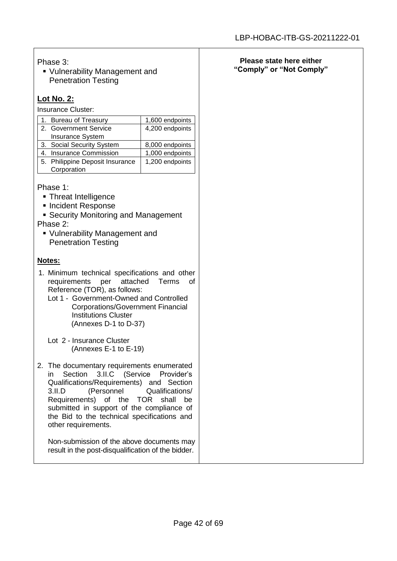Phase 3:

 Vulnerability Management and Penetration Testing

#### **Lot No. 2:**

Insurance Cluster:

| 1. Bureau of Treasury           | 1,600 endpoints |
|---------------------------------|-----------------|
| 2. Government Service           | 4,200 endpoints |
| Insurance System                |                 |
| 3. Social Security System       | 8,000 endpoints |
| 4. Insurance Commission         | 1,000 endpoints |
| 5. Philippine Deposit Insurance | 1,200 endpoints |
| Corporation                     |                 |

Phase 1:

- **Threat Intelligence**
- **Incident Response**
- Security Monitoring and Management Phase 2:
	- Vulnerability Management and Penetration Testing

#### **Notes:**

- 1. Minimum technical specifications and other requirements per attached Terms of Reference (TOR), as follows:
	- Lot 1 Government-Owned and Controlled Corporations/Government Financial Institutions Cluster (Annexes D-1 to D-37)
	- Lot 2 Insurance Cluster (Annexes E-1 to E-19)
- 2. The documentary requirements enumerated in Section 3.II.C (Service Provider's Qualifications/Requirements) and Section 3.II.D (Personnel Qualifications/ Requirements) of the TOR shall be submitted in support of the compliance of the Bid to the technical specifications and other requirements.

Non-submission of the above documents may result in the post-disqualification of the bidder.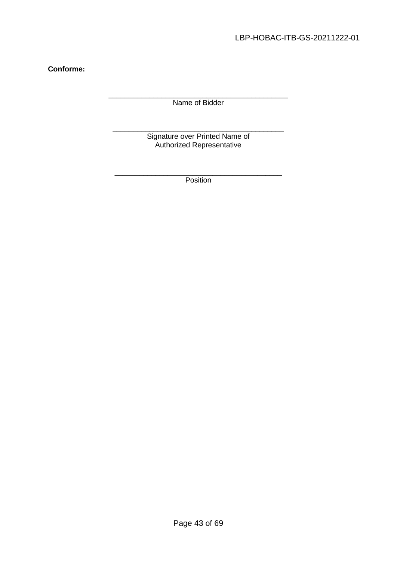**Conforme:**

\_\_\_\_\_\_\_\_\_\_\_\_\_\_\_\_\_\_\_\_\_\_\_\_\_\_\_\_\_\_\_\_\_\_\_\_\_\_\_\_\_\_\_\_ Name of Bidder

\_\_\_\_\_\_\_\_\_\_\_\_\_\_\_\_\_\_\_\_\_\_\_\_\_\_\_\_\_\_\_\_\_\_\_\_\_\_\_\_\_\_ Signature over Printed Name of Authorized Representative

\_\_\_\_\_\_\_\_\_\_\_\_\_\_\_\_\_\_\_\_\_\_\_\_\_\_\_\_\_\_\_\_\_\_\_\_\_\_\_\_\_ **Position**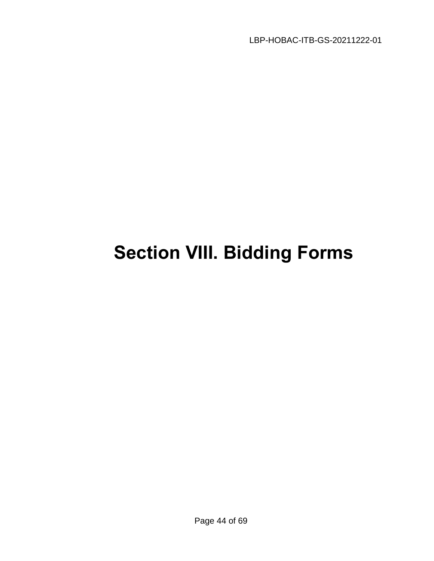LBP-HOBAC-ITB-GS-20211222-01

# **Section VIII. Bidding Forms**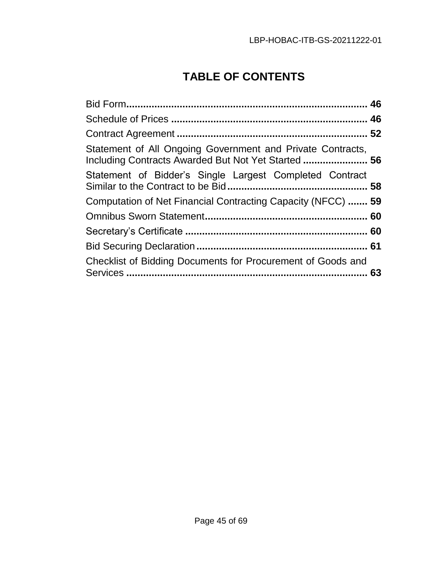## **TABLE OF CONTENTS**

<span id="page-44-0"></span>

| Statement of All Ongoing Government and Private Contracts,<br>Including Contracts Awarded But Not Yet Started  56 |    |
|-------------------------------------------------------------------------------------------------------------------|----|
| Statement of Bidder's Single Largest Completed Contract                                                           |    |
| Computation of Net Financial Contracting Capacity (NFCC)  59                                                      |    |
|                                                                                                                   |    |
|                                                                                                                   |    |
|                                                                                                                   |    |
| Checklist of Bidding Documents for Procurement of Goods and                                                       | 63 |
|                                                                                                                   |    |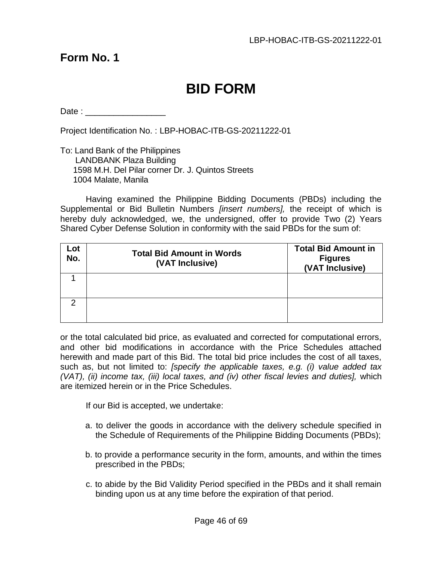## **BID FORM**

Date : \_\_\_\_\_\_\_\_\_\_\_\_\_\_\_\_\_

Project Identification No. : LBP-HOBAC-ITB-GS-20211222-01

To: Land Bank of the Philippines LANDBANK Plaza Building 1598 M.H. Del Pilar corner Dr. J. Quintos Streets 1004 Malate, Manila

Having examined the Philippine Bidding Documents (PBDs) including the Supplemental or Bid Bulletin Numbers *[insert numbers],* the receipt of which is hereby duly acknowledged, we, the undersigned, offer to provide Two (2) Years Shared Cyber Defense Solution in conformity with the said PBDs for the sum of:

| Lot<br>No. | <b>Total Bid Amount in Words</b><br>(VAT Inclusive) | <b>Total Bid Amount in</b><br><b>Figures</b><br>(VAT Inclusive) |
|------------|-----------------------------------------------------|-----------------------------------------------------------------|
|            |                                                     |                                                                 |
| ⌒          |                                                     |                                                                 |

or the total calculated bid price, as evaluated and corrected for computational errors, and other bid modifications in accordance with the Price Schedules attached herewith and made part of this Bid. The total bid price includes the cost of all taxes, such as, but not limited to: *[specify the applicable taxes, e.g. (i) value added tax (VAT), (ii) income tax, (iii) local taxes, and (iv) other fiscal levies and duties],* which are itemized herein or in the Price Schedules.

If our Bid is accepted, we undertake:

- a. to deliver the goods in accordance with the delivery schedule specified in the Schedule of Requirements of the Philippine Bidding Documents (PBDs);
- b. to provide a performance security in the form, amounts, and within the times prescribed in the PBDs;
- c. to abide by the Bid Validity Period specified in the PBDs and it shall remain binding upon us at any time before the expiration of that period.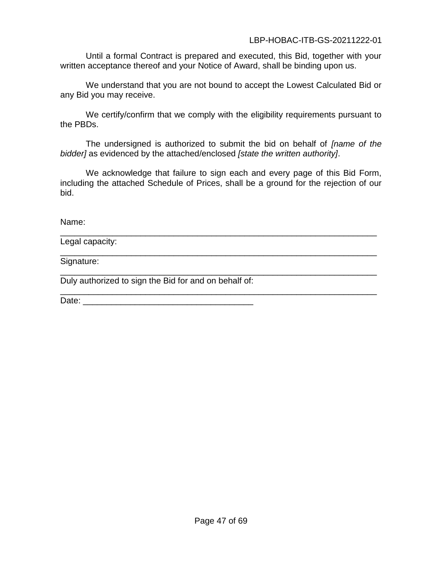#### LBP-HOBAC-ITB-GS-20211222-01

 $\overline{\phantom{a}}$  ,  $\overline{\phantom{a}}$  ,  $\overline{\phantom{a}}$  ,  $\overline{\phantom{a}}$  ,  $\overline{\phantom{a}}$  ,  $\overline{\phantom{a}}$  ,  $\overline{\phantom{a}}$  ,  $\overline{\phantom{a}}$  ,  $\overline{\phantom{a}}$  ,  $\overline{\phantom{a}}$  ,  $\overline{\phantom{a}}$  ,  $\overline{\phantom{a}}$  ,  $\overline{\phantom{a}}$  ,  $\overline{\phantom{a}}$  ,  $\overline{\phantom{a}}$  ,  $\overline{\phantom{a}}$ 

Until a formal Contract is prepared and executed, this Bid, together with your written acceptance thereof and your Notice of Award, shall be binding upon us.

We understand that you are not bound to accept the Lowest Calculated Bid or any Bid you may receive.

We certify/confirm that we comply with the eligibility requirements pursuant to the PBDs.

The undersigned is authorized to submit the bid on behalf of *[name of the bidder]* as evidenced by the attached/enclosed *[state the written authority]*.

We acknowledge that failure to sign each and every page of this Bid Form, including the attached Schedule of Prices, shall be a ground for the rejection of our bid.

\_\_\_\_\_\_\_\_\_\_\_\_\_\_\_\_\_\_\_\_\_\_\_\_\_\_\_\_\_\_\_\_\_\_\_\_\_\_\_\_\_\_\_\_\_\_\_\_\_\_\_\_\_\_\_\_\_\_\_\_\_\_\_\_\_\_\_

\_\_\_\_\_\_\_\_\_\_\_\_\_\_\_\_\_\_\_\_\_\_\_\_\_\_\_\_\_\_\_\_\_\_\_\_\_\_\_\_\_\_\_\_\_\_\_\_\_\_\_\_\_\_\_\_\_\_\_\_\_\_\_\_\_\_\_

\_\_\_\_\_\_\_\_\_\_\_\_\_\_\_\_\_\_\_\_\_\_\_\_\_\_\_\_\_\_\_\_\_\_\_\_\_\_\_\_\_\_\_\_\_\_\_\_\_\_\_\_\_\_\_\_\_\_\_\_\_\_\_\_\_\_\_

Name:

Legal capacity:

Signature:

Duly authorized to sign the Bid for and on behalf of:

Date: \_\_\_\_\_\_\_\_\_\_\_\_\_\_\_\_\_\_\_\_\_\_\_\_\_\_\_\_\_\_\_\_\_\_\_\_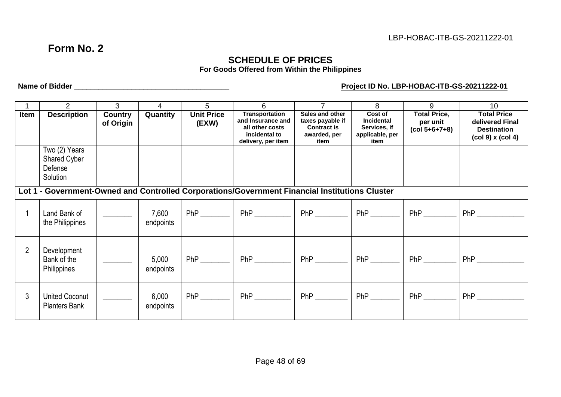#### **SCHEDULE OF PRICES For Goods Offered from Within the Philippines**

#### **Name of Bidder \_\_\_\_\_\_\_\_\_\_\_\_\_\_\_\_\_\_\_\_\_\_\_\_\_\_\_\_\_\_\_\_\_\_\_\_\_\_ Project ID No. LBP-HOBAC-ITB-GS-20211222-01**

|                | $\overline{2}$                                       | 3                           | 4                  | 5                          | 6                                                                                                    | $\overline{7}$                                                                    | 8                                                                | 9                                                  | 10 <sup>1</sup>                                                                      |
|----------------|------------------------------------------------------|-----------------------------|--------------------|----------------------------|------------------------------------------------------------------------------------------------------|-----------------------------------------------------------------------------------|------------------------------------------------------------------|----------------------------------------------------|--------------------------------------------------------------------------------------|
| Item           | <b>Description</b>                                   | <b>Country</b><br>of Origin | Quantity           | <b>Unit Price</b><br>(EXW) | <b>Transportation</b><br>and Insurance and<br>all other costs<br>incidental to<br>delivery, per item | Sales and other<br>taxes payable if<br><b>Contract is</b><br>awarded, per<br>item | Cost of<br>Incidental<br>Services, if<br>applicable, per<br>item | <b>Total Price,</b><br>per unit<br>$(col 5+6+7+8)$ | <b>Total Price</b><br>delivered Final<br><b>Destination</b><br>$(col 9)$ x $(col 4)$ |
|                | Two (2) Years<br>Shared Cyber<br>Defense<br>Solution |                             |                    |                            |                                                                                                      |                                                                                   |                                                                  |                                                    |                                                                                      |
|                |                                                      |                             |                    |                            | Lot 1 - Government-Owned and Controlled Corporations/Government Financial Institutions Cluster       |                                                                                   |                                                                  |                                                    |                                                                                      |
|                | Land Bank of<br>the Philippines                      |                             | 7,600<br>endpoints | $PhP$ <sub>________</sub>  |                                                                                                      | <b>PhP</b>                                                                        | PhP                                                              | <b>PhP</b>                                         | PhP                                                                                  |
| $\overline{2}$ | Development<br>Bank of the<br>Philippines            |                             | 5,000<br>endpoints | <b>PhP</b>                 | PhP                                                                                                  | <b>PhP</b>                                                                        | PhP                                                              | <b>PhP</b>                                         | PhP                                                                                  |
| 3              | <b>United Coconut</b><br><b>Planters Bank</b>        |                             | 6,000<br>endpoints | <b>PhP</b>                 | PhP                                                                                                  | <b>PhP</b>                                                                        | PhP                                                              | PhP                                                | PhP                                                                                  |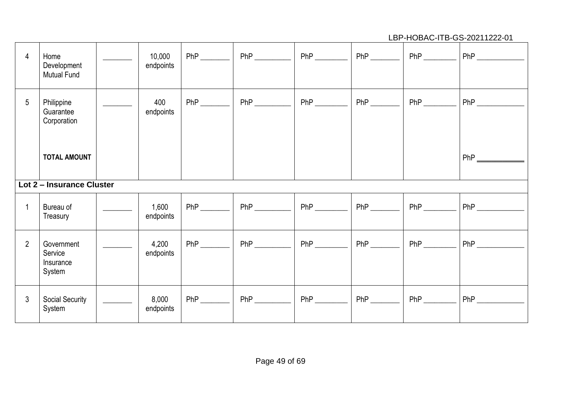LBP-HOBAC-ITB-GS-20211222-01

| 4              | Home<br>Development<br><b>Mutual Fund</b>    | 10,000<br>endpoints | $PhP$ <sub>________</sub>  |     | PhP        | PhP                      |            |            |
|----------------|----------------------------------------------|---------------------|----------------------------|-----|------------|--------------------------|------------|------------|
| 5              | Philippine<br>Guarantee<br>Corporation       | 400<br>endpoints    | $PhP$ <sub>_________</sub> | PhP | PhP        | PhP                      | PhP        | PhP        |
|                | <b>TOTAL AMOUNT</b>                          |                     |                            |     |            |                          |            |            |
|                | Lot 2 - Insurance Cluster                    |                     |                            |     |            |                          |            |            |
|                | Bureau of<br>Treasury                        | 1,600<br>endpoints  |                            | PhP | <b>PhP</b> | <b>PhP</b>               | <b>PhP</b> | PhP        |
| $\overline{2}$ | Government<br>Service<br>Insurance<br>System | 4,200<br>endpoints  | $PhP$ <sub>________</sub>  |     | PhP        | <b>PhP</b>               | PhP        | PhP        |
| 3              | Social Security<br>System                    | 8,000<br>endpoints  | <b>PhP</b>                 |     | PhP        | $PhP$ <sub>_______</sub> | PhP        | <b>PhP</b> |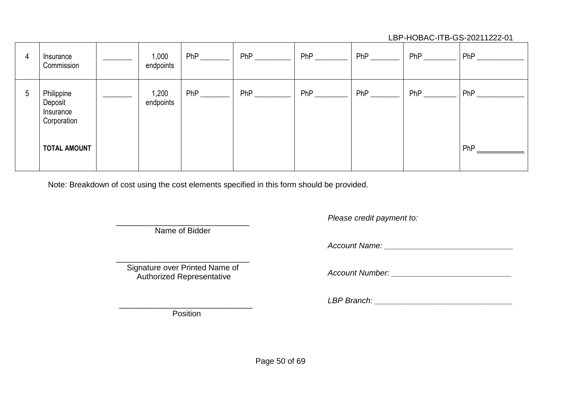#### LBP-HOBAC-ITB-GS-20211222-01

| 4            | Insurance<br>Commission                           | 1,000<br>endpoints | <b>PhP</b> | PhP        | PhP | PhP | PhP | PhP |
|--------------|---------------------------------------------------|--------------------|------------|------------|-----|-----|-----|-----|
| <sub>5</sub> | Philippine<br>Deposit<br>Insurance<br>Corporation | 1,200<br>endpoints | PhP        | <b>PhP</b> | PhP | PhP | PhP | PhP |
|              | <b>TOTAL AMOUNT</b>                               |                    |            |            |     |     |     | PhP |

Note: Breakdown of cost using the cost elements specified in this form should be provided.

\_\_\_\_\_\_\_\_\_\_\_\_\_\_\_\_\_\_\_\_\_\_\_\_\_\_\_\_\_\_ Name of Bidder

\_\_\_\_\_\_\_\_\_\_\_\_\_\_\_\_\_\_\_\_\_\_\_\_\_\_\_\_\_\_ Signature over Printed Name of Authorized Representative

 $\frac{1}{\sqrt{2}}$  ,  $\frac{1}{\sqrt{2}}$  ,  $\frac{1}{\sqrt{2}}$  ,  $\frac{1}{\sqrt{2}}$  ,  $\frac{1}{\sqrt{2}}$  ,  $\frac{1}{\sqrt{2}}$  ,  $\frac{1}{\sqrt{2}}$  ,  $\frac{1}{\sqrt{2}}$  ,  $\frac{1}{\sqrt{2}}$  ,  $\frac{1}{\sqrt{2}}$  ,  $\frac{1}{\sqrt{2}}$  ,  $\frac{1}{\sqrt{2}}$  ,  $\frac{1}{\sqrt{2}}$  ,  $\frac{1}{\sqrt{2}}$  ,  $\frac{1}{\sqrt{2}}$ 

*Please credit payment to:*

Account Name: **and the set of the set of the set of the set of the set of the set of the set of the set of the set of the set of the set of the set of the set of the set of the set of the set of the set of the set of the s** 

*Account Number: \_\_\_\_\_\_\_\_\_\_\_\_\_\_\_\_\_\_\_\_\_\_\_\_\_\_\_*

*LBP Branch: \_\_\_\_\_\_\_\_\_\_\_\_\_\_\_\_\_\_\_\_\_\_\_\_\_\_\_\_\_\_\_*

**Position**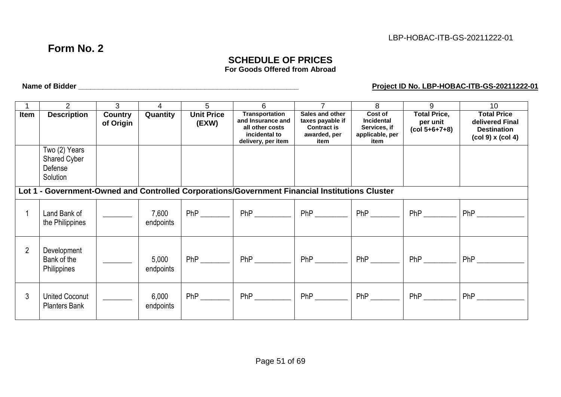### **SCHEDULE OF PRICES**

**For Goods Offered from Abroad**

 **Name of Bidder \_\_\_\_\_\_\_\_\_\_\_\_\_\_\_\_\_\_\_\_\_\_\_\_\_\_\_\_\_\_\_\_\_\_\_\_\_\_\_\_\_\_\_\_\_\_\_\_\_\_\_\_\_\_ Project ID No. LBP-HOBAC-ITB-GS-20211222-01**

|                | $\overline{2}$                                              | 3                    | 4                  | 5                          | 6                                                                                              | $\overline{7}$                                                                    | 8                                                                       | 9                                                  | 10                                                                                                                         |
|----------------|-------------------------------------------------------------|----------------------|--------------------|----------------------------|------------------------------------------------------------------------------------------------|-----------------------------------------------------------------------------------|-------------------------------------------------------------------------|----------------------------------------------------|----------------------------------------------------------------------------------------------------------------------------|
| Item           | <b>Description</b>                                          | Country<br>of Origin | Quantity           | <b>Unit Price</b><br>(EXW) | Transportation<br>and Insurance and<br>all other costs<br>incidental to<br>delivery, per item  | Sales and other<br>taxes payable if<br><b>Contract is</b><br>awarded, per<br>item | Cost of<br><b>Incidental</b><br>Services, if<br>applicable, per<br>item | <b>Total Price,</b><br>per unit<br>$(col 5+6+7+8)$ | <b>Total Price</b><br>delivered Final<br><b>Destination</b><br>$\left(\text{col } 9\right)$ x $\left(\text{col } 4\right)$ |
|                | Two (2) Years<br><b>Shared Cyber</b><br>Defense<br>Solution |                      |                    |                            |                                                                                                |                                                                                   |                                                                         |                                                    |                                                                                                                            |
|                |                                                             |                      |                    |                            | Lot 1 - Government-Owned and Controlled Corporations/Government Financial Institutions Cluster |                                                                                   |                                                                         |                                                    |                                                                                                                            |
|                | Land Bank of<br>the Philippines                             |                      | 7,600<br>endpoints | <b>PhP</b>                 | PhP                                                                                            | PhP                                                                               | PhP                                                                     | PhP                                                | PhP                                                                                                                        |
| $\overline{2}$ | Development<br>Bank of the<br><b>Philippines</b>            |                      | 5,000<br>endpoints | <b>PhP</b>                 | PhP                                                                                            | PhP                                                                               | PhP                                                                     | PhP                                                | PhP                                                                                                                        |
| 3              | United Coconut<br><b>Planters Bank</b>                      |                      | 6,000<br>endpoints | <b>PhP</b>                 | PhP                                                                                            | PhP                                                                               | PhP                                                                     | PhP                                                | PhP                                                                                                                        |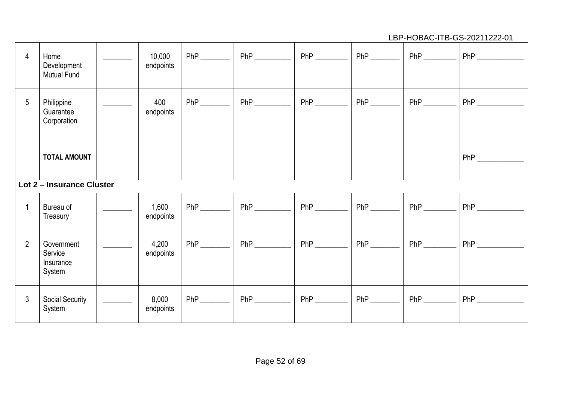LBP-HOBAC-ITB-GS-20211222-01

| 4              | Home<br>Development<br>Mutual Fund           | 10,000<br>endpoints |                            |  | PhP                       | PhP        |            |
|----------------|----------------------------------------------|---------------------|----------------------------|--|---------------------------|------------|------------|
| 5              | Philippine<br>Guarantee<br>Corporation       | 400<br>endpoints    | $PhP$ <sub>_________</sub> |  |                           | PhP        | PhP        |
|                | <b>TOTAL AMOUNT</b>                          |                     |                            |  |                           |            |            |
|                | Lot 2 - Insurance Cluster                    |                     |                            |  |                           |            |            |
| 1              | Bureau of<br>Treasury                        | 1,600<br>endpoints  |                            |  | PhP                       | <b>PhP</b> | <b>PhP</b> |
| $\overline{2}$ | Government<br>Service<br>Insurance<br>System | 4,200<br>endpoints  | $PhP$ <sub>_________</sub> |  |                           | PhP        | <b>PhP</b> |
| 3              | Social Security<br>System                    | 8,000<br>endpoints  | PhP                        |  | $PhP$ <sub>________</sub> | <b>PhP</b> | <b>PhP</b> |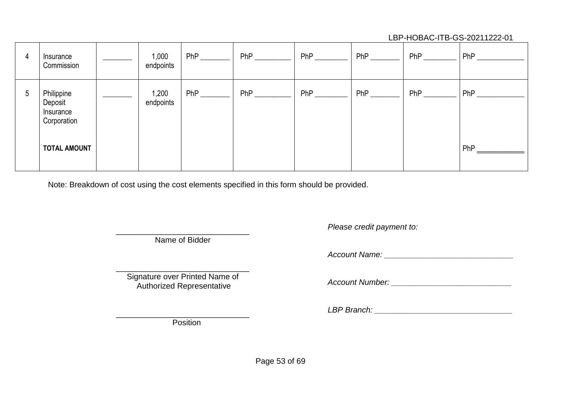#### LBP-HOBAC-ITB-GS-20211222-01

| 4            | Insurance<br>Commission                           | 1,000<br>endpoints | PhP | PhP        | PhP | PhP | PhP | PhP        |
|--------------|---------------------------------------------------|--------------------|-----|------------|-----|-----|-----|------------|
| <sub>5</sub> | Philippine<br>Deposit<br>Insurance<br>Corporation | 1,200<br>endpoints | PhP | <b>PhP</b> | PhP | PhP | PhP | <b>PhP</b> |
|              | <b>TOTAL AMOUNT</b>                               |                    |     |            |     |     |     | PhP        |

Note: Breakdown of cost using the cost elements specified in this form should be provided.

\_\_\_\_\_\_\_\_\_\_\_\_\_\_\_\_\_\_\_\_\_\_\_\_\_\_\_\_\_\_ Name of Bidder

\_\_\_\_\_\_\_\_\_\_\_\_\_\_\_\_\_\_\_\_\_\_\_\_\_\_\_\_\_\_ Signature over Printed Name of Authorized Representative

*Please credit payment to:*

*Account Name: \_\_\_\_\_\_\_\_\_\_\_\_\_\_\_\_\_\_\_\_\_\_\_\_\_\_\_\_\_*

*Account Number: \_\_\_\_\_\_\_\_\_\_\_\_\_\_\_\_\_\_\_\_\_\_\_\_\_\_\_*

*LBP Branch: \_\_\_\_\_\_\_\_\_\_\_\_\_\_\_\_\_\_\_\_\_\_\_\_\_\_\_\_\_\_\_*

Position

\_\_\_\_\_\_\_\_\_\_\_\_\_\_\_\_\_\_\_\_\_\_\_\_\_\_\_\_\_\_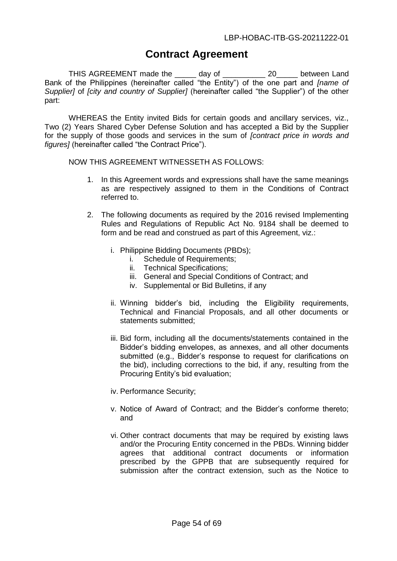## **Contract Agreement**

<span id="page-53-0"></span>THIS AGREEMENT made the \_\_\_\_\_ day of \_\_\_\_\_\_\_\_\_\_ 20\_\_\_\_\_ between Land Bank of the Philippines (hereinafter called "the Entity") of the one part and *[name of Supplier]* of *[city and country of Supplier]* (hereinafter called "the Supplier") of the other part:

WHEREAS the Entity invited Bids for certain goods and ancillary services, viz., Two (2) Years Shared Cyber Defense Solution and has accepted a Bid by the Supplier for the supply of those goods and services in the sum of *[contract price in words and figures]* (hereinafter called "the Contract Price").

NOW THIS AGREEMENT WITNESSETH AS FOLLOWS:

- 1. In this Agreement words and expressions shall have the same meanings as are respectively assigned to them in the Conditions of Contract referred to.
- 2. The following documents as required by the 2016 revised Implementing Rules and Regulations of Republic Act No. 9184 shall be deemed to form and be read and construed as part of this Agreement, viz.:
	- i. Philippine Bidding Documents (PBDs);
		- i. Schedule of Requirements;
		- ii. Technical Specifications;
		- iii. General and Special Conditions of Contract; and
		- iv. Supplemental or Bid Bulletins, if any
	- ii. Winning bidder's bid, including the Eligibility requirements, Technical and Financial Proposals, and all other documents or statements submitted;
	- iii. Bid form, including all the documents/statements contained in the Bidder's bidding envelopes, as annexes, and all other documents submitted (e.g., Bidder's response to request for clarifications on the bid), including corrections to the bid, if any, resulting from the Procuring Entity's bid evaluation;
	- iv. Performance Security;
	- v. Notice of Award of Contract; and the Bidder's conforme thereto; and
	- vi. Other contract documents that may be required by existing laws and/or the Procuring Entity concerned in the PBDs. Winning bidder agrees that additional contract documents or information prescribed by the GPPB that are subsequently required for submission after the contract extension, such as the Notice to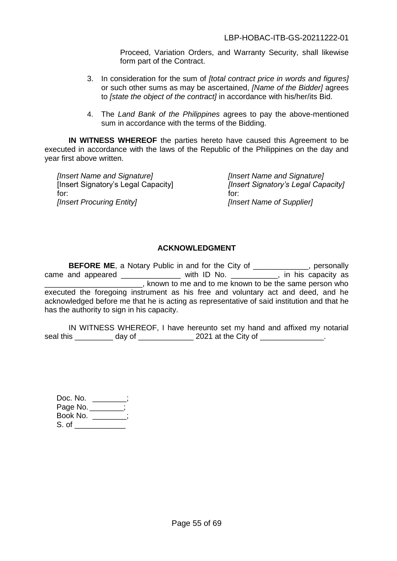Proceed, Variation Orders, and Warranty Security, shall likewise form part of the Contract.

- 3. In consideration for the sum of *[total contract price in words and figures]* or such other sums as may be ascertained, *[Name of the Bidder]* agrees to *[state the object of the contract]* in accordance with his/her/its Bid.
- 4. The *Land Bank of the Philippines* agrees to pay the above-mentioned sum in accordance with the terms of the Bidding.

**IN WITNESS WHEREOF** the parties hereto have caused this Agreement to be executed in accordance with the laws of the Republic of the Philippines on the day and year first above written.

*[Insert Name and Signature]*  [Insert Signatory's Legal Capacity] for: *[Insert Procuring Entity]* 

*[Insert Name and Signature] [Insert Signatory's Legal Capacity]*  for: *[Insert Name of Supplier]* 

#### **ACKNOWLEDGMENT**

**BEFORE ME**, a Notary Public in and for the City of \_\_\_\_\_\_\_\_\_\_\_, personally came and appeared  $\frac{1}{\sqrt{1-\frac{1}{2}}}\$  with ID No.  $\frac{1}{\sqrt{1-\frac{1}{2}}}\$ , in his capacity as \_\_\_\_\_\_\_\_\_\_\_\_\_\_\_\_\_\_\_\_\_\_\_, known to me and to me known to be the same person who executed the foregoing instrument as his free and voluntary act and deed, and he acknowledged before me that he is acting as representative of said institution and that he has the authority to sign in his capacity.

IN WITNESS WHEREOF, I have hereunto set my hand and affixed my notarial seal this \_\_\_\_\_\_\_\_\_\_ day of \_\_\_\_\_\_\_\_\_\_\_\_\_\_\_ 2021 at the City of \_\_\_\_\_\_\_\_\_\_\_\_\_\_\_.

| Doc. No. |  |
|----------|--|
| Page No. |  |
| Book No. |  |
| S. of    |  |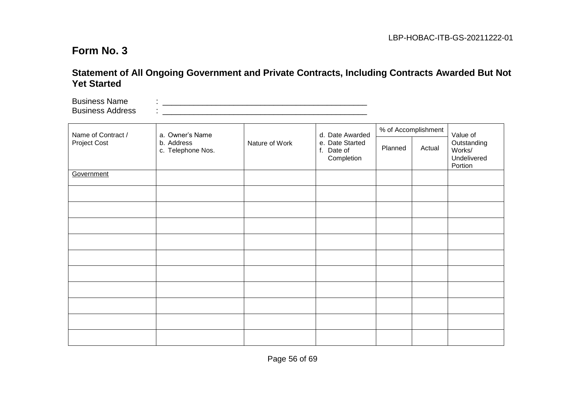### **Statement of All Ongoing Government and Private Contracts, Including Contracts Awarded But Not Yet Started**

Business Name : \_\_\_\_\_\_\_\_\_\_\_\_\_\_\_\_\_\_\_\_\_\_\_\_\_\_\_\_\_\_\_\_\_\_\_\_\_\_\_\_\_\_\_\_\_\_ Business Address : \_\_\_\_\_\_\_\_\_\_\_\_\_\_\_\_\_\_\_\_\_\_\_\_\_\_\_\_\_\_\_\_\_\_\_\_\_\_\_\_\_\_\_\_\_\_

<span id="page-55-0"></span>

| Name of Contract / | a. Owner's Name                 |                | d. Date Awarded                             | % of Accomplishment |        | Value of                                        |  |
|--------------------|---------------------------------|----------------|---------------------------------------------|---------------------|--------|-------------------------------------------------|--|
| Project Cost       | b. Address<br>c. Telephone Nos. | Nature of Work | e. Date Started<br>f. Date of<br>Completion | Planned             | Actual | Outstanding<br>Works/<br>Undelivered<br>Portion |  |
| Government         |                                 |                |                                             |                     |        |                                                 |  |
|                    |                                 |                |                                             |                     |        |                                                 |  |
|                    |                                 |                |                                             |                     |        |                                                 |  |
|                    |                                 |                |                                             |                     |        |                                                 |  |
|                    |                                 |                |                                             |                     |        |                                                 |  |
|                    |                                 |                |                                             |                     |        |                                                 |  |
|                    |                                 |                |                                             |                     |        |                                                 |  |
|                    |                                 |                |                                             |                     |        |                                                 |  |
|                    |                                 |                |                                             |                     |        |                                                 |  |
|                    |                                 |                |                                             |                     |        |                                                 |  |
|                    |                                 |                |                                             |                     |        |                                                 |  |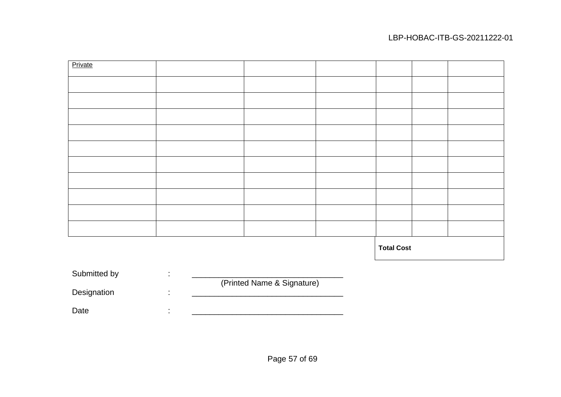#### LBP-HOBAC-ITB-GS-20211222-01

| Private                                                                                                                                                                                                                                                                                                            |                          |  |  |                   |  |
|--------------------------------------------------------------------------------------------------------------------------------------------------------------------------------------------------------------------------------------------------------------------------------------------------------------------|--------------------------|--|--|-------------------|--|
|                                                                                                                                                                                                                                                                                                                    |                          |  |  |                   |  |
|                                                                                                                                                                                                                                                                                                                    |                          |  |  |                   |  |
|                                                                                                                                                                                                                                                                                                                    |                          |  |  |                   |  |
|                                                                                                                                                                                                                                                                                                                    |                          |  |  |                   |  |
|                                                                                                                                                                                                                                                                                                                    |                          |  |  |                   |  |
|                                                                                                                                                                                                                                                                                                                    |                          |  |  |                   |  |
|                                                                                                                                                                                                                                                                                                                    |                          |  |  |                   |  |
|                                                                                                                                                                                                                                                                                                                    |                          |  |  |                   |  |
|                                                                                                                                                                                                                                                                                                                    |                          |  |  |                   |  |
|                                                                                                                                                                                                                                                                                                                    |                          |  |  |                   |  |
|                                                                                                                                                                                                                                                                                                                    |                          |  |  |                   |  |
|                                                                                                                                                                                                                                                                                                                    |                          |  |  |                   |  |
|                                                                                                                                                                                                                                                                                                                    |                          |  |  |                   |  |
|                                                                                                                                                                                                                                                                                                                    |                          |  |  |                   |  |
|                                                                                                                                                                                                                                                                                                                    |                          |  |  |                   |  |
|                                                                                                                                                                                                                                                                                                                    |                          |  |  |                   |  |
|                                                                                                                                                                                                                                                                                                                    |                          |  |  |                   |  |
|                                                                                                                                                                                                                                                                                                                    |                          |  |  |                   |  |
|                                                                                                                                                                                                                                                                                                                    |                          |  |  | <b>Total Cost</b> |  |
|                                                                                                                                                                                                                                                                                                                    |                          |  |  |                   |  |
| Submitted by                                                                                                                                                                                                                                                                                                       | $\sim 10^{11}$ m $^{-1}$ |  |  |                   |  |
| $\sqrt{D}$ $\sqrt{D}$ $\sqrt{D}$ $\sqrt{D}$ $\sqrt{D}$ $\sqrt{D}$ $\sqrt{D}$ $\sqrt{D}$ $\sqrt{D}$ $\sqrt{D}$ $\sqrt{D}$ $\sqrt{D}$ $\sqrt{D}$ $\sqrt{D}$ $\sqrt{D}$ $\sqrt{D}$ $\sqrt{D}$ $\sqrt{D}$ $\sqrt{D}$ $\sqrt{D}$ $\sqrt{D}$ $\sqrt{D}$ $\sqrt{D}$ $\sqrt{D}$ $\sqrt{D}$ $\sqrt{D}$ $\sqrt{D}$ $\sqrt{D$ |                          |  |  |                   |  |

Designation in the control of the control of the control of the control of the control of the control of the control of the control of the control of the control of the control of the control of the control of the control

(Printed Name & Signature)

Date : \_\_\_\_\_\_\_\_\_\_\_\_\_\_\_\_\_\_\_\_\_\_\_\_\_\_\_\_\_\_\_\_\_\_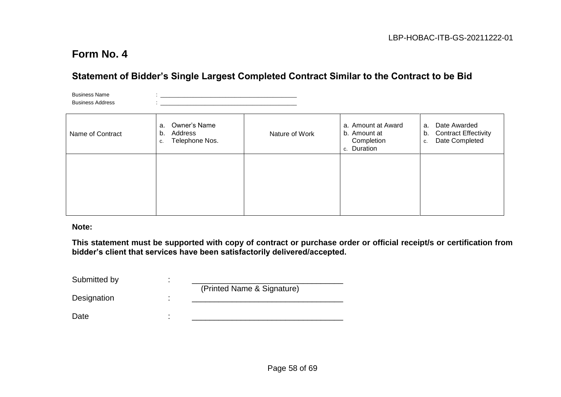### **Statement of Bidder's Single Largest Completed Contract Similar to the Contract to be Bid**

Business Name : \_\_\_\_\_\_\_\_\_\_\_\_\_\_\_\_\_\_\_\_\_\_\_\_\_\_\_\_\_\_\_\_\_\_\_\_\_\_\_\_\_\_\_\_\_\_ Business Address **Example 20**  $\overline{a}$  :

| Name of Contract | Owner's Name<br>a.<br>Address<br>b.<br>Telephone Nos.<br>c. | Nature of Work | a. Amount at Award<br>b. Amount at<br>Completion<br>c. Duration | Date Awarded<br>a.<br><b>Contract Effectivity</b><br>b.<br>Date Completed<br>c. |
|------------------|-------------------------------------------------------------|----------------|-----------------------------------------------------------------|---------------------------------------------------------------------------------|
|                  |                                                             |                |                                                                 |                                                                                 |

<span id="page-57-0"></span>**Note:** 

**This statement must be supported with copy of contract or purchase order or official receipt/s or certification from bidder's client that services have been satisfactorily delivered/accepted.**

| Submitted by |                            |  |
|--------------|----------------------------|--|
|              | (Printed Name & Signature) |  |
| Designation  |                            |  |
|              |                            |  |
| Date         |                            |  |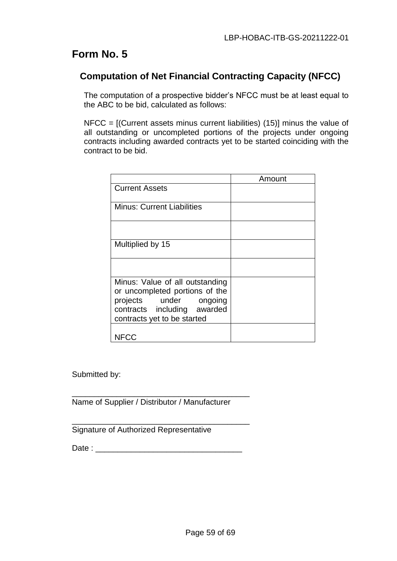### <span id="page-58-0"></span>**Computation of Net Financial Contracting Capacity (NFCC)**

The computation of a prospective bidder's NFCC must be at least equal to the ABC to be bid, calculated as follows:

NFCC = [(Current assets minus current liabilities) (15)] minus the value of all outstanding or uncompleted portions of the projects under ongoing contracts including awarded contracts yet to be started coinciding with the contract to be bid.

|                                                          | Amount |
|----------------------------------------------------------|--------|
| <b>Current Assets</b>                                    |        |
| <b>Minus: Current Liabilities</b>                        |        |
|                                                          |        |
| Multiplied by 15                                         |        |
|                                                          |        |
| Minus: Value of all outstanding                          |        |
| or uncompleted portions of the<br>projects under ongoing |        |
| contracts including awarded                              |        |
| contracts yet to be started                              |        |
| NFCC                                                     |        |
|                                                          |        |

Submitted by:

\_\_\_\_\_\_\_\_\_\_\_\_\_\_\_\_\_\_\_\_\_\_\_\_\_\_\_\_\_\_\_\_\_\_\_\_\_\_\_\_ Name of Supplier / Distributor / Manufacturer

\_\_\_\_\_\_\_\_\_\_\_\_\_\_\_\_\_\_\_\_\_\_\_\_\_\_\_\_\_\_\_\_\_\_\_\_\_\_\_\_

Signature of Authorized Representative

Date : \_\_\_\_\_\_\_\_\_\_\_\_\_\_\_\_\_\_\_\_\_\_\_\_\_\_\_\_\_\_\_\_\_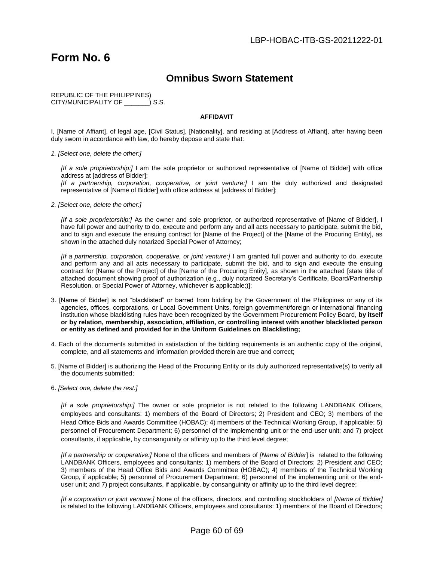#### **Omnibus Sworn Statement**

<span id="page-59-0"></span>REPUBLIC OF THE PHILIPPINES) CITY/MUNICIPALITY OF \_\_\_\_\_\_\_) S.S.

#### **AFFIDAVIT**

I, [Name of Affiant], of legal age, [Civil Status], [Nationality], and residing at [Address of Affiant], after having been duly sworn in accordance with law, do hereby depose and state that:

*1. [Select one, delete the other:]* 

*[If a sole proprietorship:]* I am the sole proprietor or authorized representative of [Name of Bidder] with office address at [address of Bidder];

*[If a partnership, corporation, cooperative, or joint venture:]* I am the duly authorized and designated representative of [Name of Bidder] with office address at [address of Bidder];

*2. [Select one, delete the other:]* 

*[If a sole proprietorship:]* As the owner and sole proprietor, or authorized representative of [Name of Bidder], I have full power and authority to do, execute and perform any and all acts necessary to participate, submit the bid, and to sign and execute the ensuing contract for [Name of the Project] of the [Name of the Procuring Entity], as shown in the attached duly notarized Special Power of Attorney;

*[If a partnership, corporation, cooperative, or joint venture:]* I am granted full power and authority to do, execute and perform any and all acts necessary to participate, submit the bid, and to sign and execute the ensuing contract for [Name of the Project] of the [Name of the Procuring Entity], as shown in the attached [state title of attached document showing proof of authorization (e.g., duly notarized Secretary's Certificate, Board/Partnership Resolution, or Special Power of Attorney, whichever is applicable;)];

- 3. [Name of Bidder] is not "blacklisted" or barred from bidding by the Government of the Philippines or any of its agencies, offices, corporations, or Local Government Units, foreign government/foreign or international financing institution whose blacklisting rules have been recognized by the Government Procurement Policy Board, **by itself or by relation, membership, association, affiliation, or controlling interest with another blacklisted person or entity as defined and provided for in the Uniform Guidelines on Blacklisting;**
- 4. Each of the documents submitted in satisfaction of the bidding requirements is an authentic copy of the original, complete, and all statements and information provided therein are true and correct;
- 5. [Name of Bidder] is authorizing the Head of the Procuring Entity or its duly authorized representative(s) to verify all the documents submitted;
- 6. *[Select one, delete the rest:]*

*[If a sole proprietorship:]* The owner or sole proprietor is not related to the following LANDBANK Officers, employees and consultants: 1) members of the Board of Directors; 2) President and CEO; 3) members of the Head Office Bids and Awards Committee (HOBAC); 4) members of the Technical Working Group, if applicable; 5) personnel of Procurement Department; 6) personnel of the implementing unit or the end-user unit; and 7) project consultants, if applicable, by consanguinity or affinity up to the third level degree;

*[If a partnership or cooperative:]* None of the officers and members of *[Name of Bidder*] is related to the following LANDBANK Officers, employees and consultants: 1) members of the Board of Directors; 2) President and CEO; 3) members of the Head Office Bids and Awards Committee (HOBAC); 4) members of the Technical Working Group, if applicable; 5) personnel of Procurement Department; 6) personnel of the implementing unit or the enduser unit; and 7) project consultants, if applicable, by consanguinity or affinity up to the third level degree;

*[If a corporation or joint venture:]* None of the officers, directors, and controlling stockholders of *[Name of Bidder]*  is related to the following LANDBANK Officers, employees and consultants: 1) members of the Board of Directors;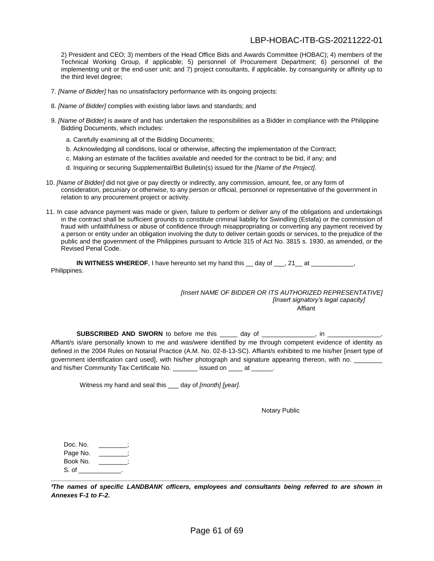#### LBP-HOBAC-ITB-GS-20211222-01

2) President and CEO; 3) members of the Head Office Bids and Awards Committee (HOBAC); 4) members of the Technical Working Group, if applicable; 5) personnel of Procurement Department; 6) personnel of the implementing unit or the end-user unit; and 7) project consultants, if applicable, by consanguinity or affinity up to the third level degree;

- 7. *[Name of Bidder]* has no unsatisfactory performance with its ongoing projects:
- 8. *[Name of Bidder]* complies with existing labor laws and standards; and
- 9. *[Name of Bidder]* is aware of and has undertaken the responsibilities as a Bidder in compliance with the Philippine Bidding Documents, which includes:
	- a. Carefully examining all of the Bidding Documents;
	- b. Acknowledging all conditions, local or otherwise, affecting the implementation of the Contract;
	- c. Making an estimate of the facilities available and needed for the contract to be bid, if any; and
	- d. Inquiring or securing Supplemental/Bid Bulletin(s) issued for the *[Name of the Project]*.
- 10. *[Name of Bidder]* did not give or pay directly or indirectly, any commission, amount, fee, or any form of consideration, pecuniary or otherwise, to any person or official, personnel or representative of the government in relation to any procurement project or activity.
- 11. In case advance payment was made or given, failure to perform or deliver any of the obligations and undertakings in the contract shall be sufficient grounds to constitute criminal liability for Swindling (Estafa) or the commission of fraud with unfaithfulness or abuse of confidence through misappropriating or converting any payment received by a person or entity under an obligation involving the duty to deliver certain goods or services, to the prejudice of the public and the government of the Philippines pursuant to Article 315 of Act No. 3815 s. 1930, as amended, or the Revised Penal Code.

**IN WITNESS WHEREOF**, I have hereunto set my hand this  $\_\_$  day of  $\_\_$ , 21 $\_\_$  at  $\_\_$ Philippines.

> *[Insert NAME OF BIDDER OR ITS AUTHORIZED REPRESENTATIVE] [Insert signatory's legal capacity]*  Affiant

**SUBSCRIBED AND SWORN** to before me this \_\_\_\_\_ day of \_\_\_\_\_\_\_\_\_\_\_\_\_\_, in \_ Affiant/s is/are personally known to me and was/were identified by me through competent evidence of identity as defined in the 2004 Rules on Notarial Practice (A.M. No. 02-8-13-SC). Affiant/s exhibited to me his/her [insert type of government identification card used], with his/her photograph and signature appearing thereon, with no. and his/her Community Tax Certificate No. \_\_\_\_\_\_\_\_ issued on \_\_\_\_\_ at \_\_\_\_\_\_.

Witness my hand and seal this \_\_\_ day of *[month] [year]*.

Notary Public

| Doc. No. |  |
|----------|--|
| Page No. |  |
| Book No. |  |
| S. of    |  |

**\_\_\_\_\_\_\_\_\_\_\_\_\_\_\_\_\_\_\_\_\_\_\_\_\_\_\_\_\_\_\_\_\_\_\_\_\_\_\_\_\_\_\_\_\_\_\_\_\_\_\_\_\_\_\_\_\_\_\_\_\_\_\_\_\_\_\_\_\_\_\_\_\_\_\_\_\_\_\_\_\_\_\_\_\_\_\_\_\_\_\_\_\_** *ꞋThe names of specific LANDBANK officers, employees and consultants being referred to are shown in Annexes* **F***-1 to F-2.*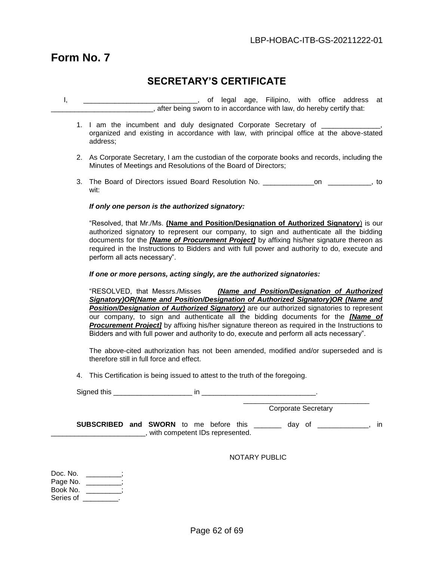#### **SECRETARY'S CERTIFICATE**

- <span id="page-61-0"></span>I, \_\_\_\_\_\_\_\_\_\_\_\_\_\_\_\_\_\_\_\_\_\_\_\_\_\_\_\_\_, of legal age, Filipino, with office address at  $\Box$ , after being sworn to in accordance with law, do hereby certify that:
	- 1. I am the incumbent and duly designated Corporate Secretary of organized and existing in accordance with law, with principal office at the above-stated address;
	- 2. As Corporate Secretary, I am the custodian of the corporate books and records, including the Minutes of Meetings and Resolutions of the Board of Directors;
	- 3. The Board of Directors issued Board Resolution No. \_\_\_\_\_\_\_\_\_\_\_\_\_on \_\_\_\_\_\_\_\_\_\_\_, to wit:

#### *If only one person is the authorized signatory:*

"Resolved, that Mr./Ms. **(Name and Position/Designation of Authorized Signatory**) is our authorized signatory to represent our company, to sign and authenticate all the bidding documents for the *[Name of Procurement Project]* by affixing his/her signature thereon as required in the Instructions to Bidders and with full power and authority to do, execute and perform all acts necessary".

#### *If one or more persons, acting singly, are the authorized signatories:*

"RESOLVED, that Messrs./Misses *(Name and Position/Designation of Authorized Signatory)OR(Name and Position/Designation of Authorized Signatory)OR (Name and*  **Position/Designation of Authorized Signatory)** are our authorized signatories to represent our company, to sign and authenticate all the bidding documents for the *[Name of*  **Procurement Project]** by affixing his/her signature thereon as required in the Instructions to Bidders and with full power and authority to do, execute and perform all acts necessary".

The above-cited authorization has not been amended, modified and/or superseded and is therefore still in full force and effect.

4. This Certification is being issued to attest to the truth of the foregoing.

Signed this \_\_\_\_\_\_\_\_\_\_\_\_\_\_\_\_\_\_\_\_ in \_\_\_\_\_\_\_\_\_\_\_\_\_\_\_\_\_\_\_\_\_\_\_\_\_\_\_\_\_.  $\overline{\phantom{a}}$  ,  $\overline{\phantom{a}}$  ,  $\overline{\phantom{a}}$  ,  $\overline{\phantom{a}}$  ,  $\overline{\phantom{a}}$  ,  $\overline{\phantom{a}}$  ,  $\overline{\phantom{a}}$  ,  $\overline{\phantom{a}}$  ,  $\overline{\phantom{a}}$  ,  $\overline{\phantom{a}}$  ,  $\overline{\phantom{a}}$  ,  $\overline{\phantom{a}}$  ,  $\overline{\phantom{a}}$  ,  $\overline{\phantom{a}}$  ,  $\overline{\phantom{a}}$  ,  $\overline{\phantom{a}}$  Corporate Secretary **SUBSCRIBED and SWORN** to me before this \_\_\_\_\_\_\_ day of \_\_\_\_\_\_\_\_\_\_\_\_\_, in \_\_\_\_\_\_\_\_\_\_\_\_\_\_\_\_\_\_\_\_\_\_\_\_, with competent IDs represented.

#### NOTARY PUBLIC

Doc. No. **\_\_\_\_\_\_\_\_\_**; Page No. \_\_\_\_\_\_\_\_; Book No. \_\_\_\_\_\_\_\_\_; Series of Theorem is a series of the series of the series of the series of the series of the series of the series of the series of the series of the series of the series of the series of the series of the series of the ser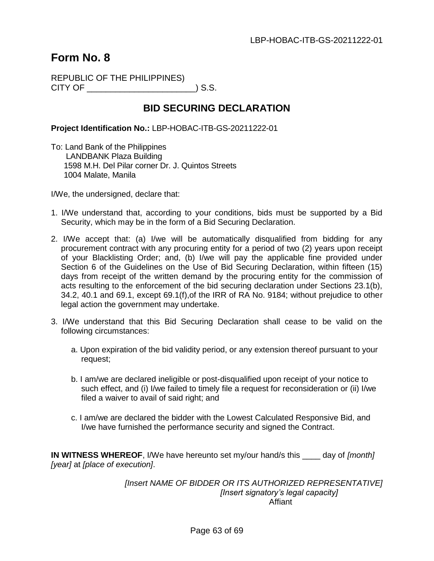REPUBLIC OF THE PHILIPPINES) CITY OF \_\_\_\_\_\_\_\_\_\_\_\_\_\_\_\_\_\_\_\_\_\_\_) S.S.

### **BID SECURING DECLARATION**

**Project Identification No.:** LBP-HOBAC-ITB-GS-20211222-01

To: Land Bank of the Philippines LANDBANK Plaza Building 1598 M.H. Del Pilar corner Dr. J. Quintos Streets 1004 Malate, Manila

I/We, the undersigned, declare that:

- 1. I/We understand that, according to your conditions, bids must be supported by a Bid Security, which may be in the form of a Bid Securing Declaration.
- 2. I/We accept that: (a) I/we will be automatically disqualified from bidding for any procurement contract with any procuring entity for a period of two (2) years upon receipt of your Blacklisting Order; and, (b) I/we will pay the applicable fine provided under Section 6 of the Guidelines on the Use of Bid Securing Declaration, within fifteen (15) days from receipt of the written demand by the procuring entity for the commission of acts resulting to the enforcement of the bid securing declaration under Sections 23.1(b), 34.2, 40.1 and 69.1, except 69.1(f),of the IRR of RA No. 9184; without prejudice to other legal action the government may undertake.
- 3. I/We understand that this Bid Securing Declaration shall cease to be valid on the following circumstances:
	- a. Upon expiration of the bid validity period, or any extension thereof pursuant to your request;
	- b. I am/we are declared ineligible or post-disqualified upon receipt of your notice to such effect, and (i) I/we failed to timely file a request for reconsideration or (ii) I/we filed a waiver to avail of said right; and
	- c. I am/we are declared the bidder with the Lowest Calculated Responsive Bid, and I/we have furnished the performance security and signed the Contract.

**IN WITNESS WHEREOF**, I/We have hereunto set my/our hand/s this \_\_\_\_ day of *[month] [year]* at *[place of execution]*.

> *[Insert NAME OF BIDDER OR ITS AUTHORIZED REPRESENTATIVE] [Insert signatory's legal capacity]*  Affiant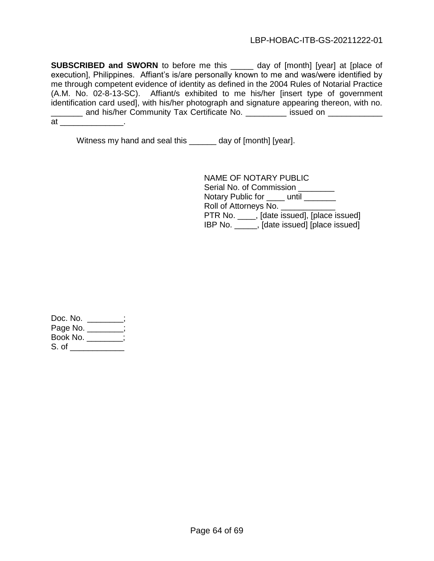**SUBSCRIBED and SWORN** to before me this \_\_\_\_\_ day of [month] [year] at [place of execution], Philippines. Affiant's is/are personally known to me and was/were identified by me through competent evidence of identity as defined in the 2004 Rules of Notarial Practice (A.M. No. 02-8-13-SC). Affiant/s exhibited to me his/her [insert type of government identification card used], with his/her photograph and signature appearing thereon, with no. \_\_\_\_\_\_\_ and his/her Community Tax Certificate No. \_\_\_\_\_\_\_\_\_ issued on \_\_\_\_\_\_\_\_\_\_ at  $\qquad \qquad \qquad \qquad$ 

Witness my hand and seal this \_\_\_\_\_\_ day of [month] [year].

NAME OF NOTARY PUBLIC Serial No. of Commission \_\_\_\_\_\_\_\_ Notary Public for \_\_\_\_ until \_\_\_\_\_\_\_ Roll of Attorneys No. \_\_\_\_\_\_\_ PTR No. \_\_\_\_, [date issued], [place issued] IBP No. \_\_\_\_\_, [date issued] [place issued]

| Doc. No. |  |
|----------|--|
| Page No. |  |
| Book No. |  |
| S. of    |  |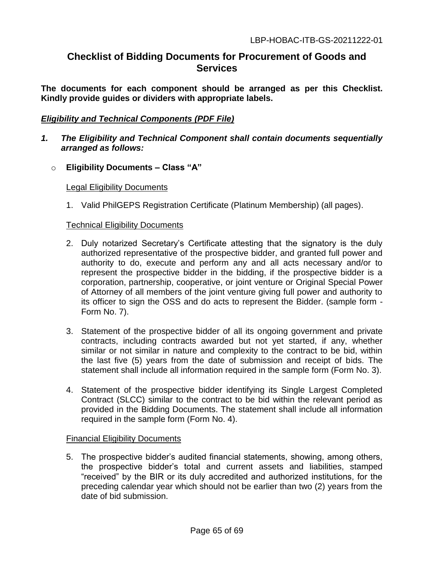#### **Checklist of Bidding Documents for Procurement of Goods and Services**

**The documents for each component should be arranged as per this Checklist. Kindly provide guides or dividers with appropriate labels.**

#### *Eligibility and Technical Components (PDF File)*

- *1. The Eligibility and Technical Component shall contain documents sequentially arranged as follows:*
	- o **Eligibility Documents – Class "A"**

#### Legal Eligibility Documents

1. Valid PhilGEPS Registration Certificate (Platinum Membership) (all pages).

#### Technical Eligibility Documents

- 2. Duly notarized Secretary's Certificate attesting that the signatory is the duly authorized representative of the prospective bidder, and granted full power and authority to do, execute and perform any and all acts necessary and/or to represent the prospective bidder in the bidding, if the prospective bidder is a corporation, partnership, cooperative, or joint venture or Original Special Power of Attorney of all members of the joint venture giving full power and authority to its officer to sign the OSS and do acts to represent the Bidder. (sample form - Form No. 7).
- 3. Statement of the prospective bidder of all its ongoing government and private contracts, including contracts awarded but not yet started, if any, whether similar or not similar in nature and complexity to the contract to be bid, within the last five (5) years from the date of submission and receipt of bids. The statement shall include all information required in the sample form (Form No. 3).
- 4. Statement of the prospective bidder identifying its Single Largest Completed Contract (SLCC) similar to the contract to be bid within the relevant period as provided in the Bidding Documents. The statement shall include all information required in the sample form (Form No. 4).

#### Financial Eligibility Documents

5. The prospective bidder's audited financial statements, showing, among others, the prospective bidder's total and current assets and liabilities, stamped "received" by the BIR or its duly accredited and authorized institutions, for the preceding calendar year which should not be earlier than two (2) years from the date of bid submission.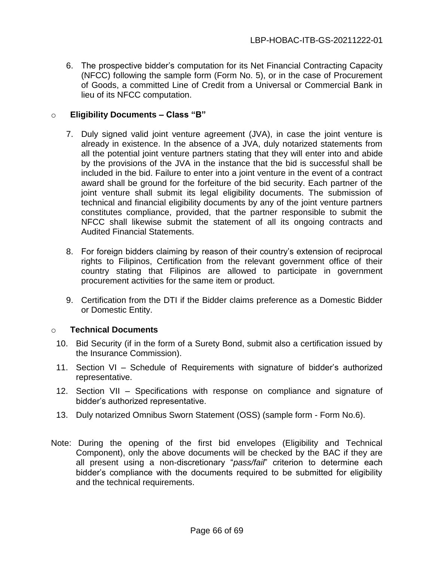6. The prospective bidder's computation for its Net Financial Contracting Capacity (NFCC) following the sample form (Form No. 5), or in the case of Procurement of Goods, a committed Line of Credit from a Universal or Commercial Bank in lieu of its NFCC computation.

#### o **Eligibility Documents – Class "B"**

- 7. Duly signed valid joint venture agreement (JVA), in case the joint venture is already in existence. In the absence of a JVA, duly notarized statements from all the potential joint venture partners stating that they will enter into and abide by the provisions of the JVA in the instance that the bid is successful shall be included in the bid. Failure to enter into a joint venture in the event of a contract award shall be ground for the forfeiture of the bid security. Each partner of the joint venture shall submit its legal eligibility documents. The submission of technical and financial eligibility documents by any of the joint venture partners constitutes compliance, provided, that the partner responsible to submit the NFCC shall likewise submit the statement of all its ongoing contracts and Audited Financial Statements.
- 8. For foreign bidders claiming by reason of their country's extension of reciprocal rights to Filipinos, Certification from the relevant government office of their country stating that Filipinos are allowed to participate in government procurement activities for the same item or product.
- 9. Certification from the DTI if the Bidder claims preference as a Domestic Bidder or Domestic Entity.

#### o **Technical Documents**

- 10. Bid Security (if in the form of a Surety Bond, submit also a certification issued by the Insurance Commission).
- 11. Section VI Schedule of Requirements with signature of bidder's authorized representative.
- 12. Section VII Specifications with response on compliance and signature of bidder's authorized representative.
- 13. Duly notarized Omnibus Sworn Statement (OSS) (sample form Form No.6).
- Note: During the opening of the first bid envelopes (Eligibility and Technical Component), only the above documents will be checked by the BAC if they are all present using a non-discretionary "*pass/fail*" criterion to determine each bidder's compliance with the documents required to be submitted for eligibility and the technical requirements.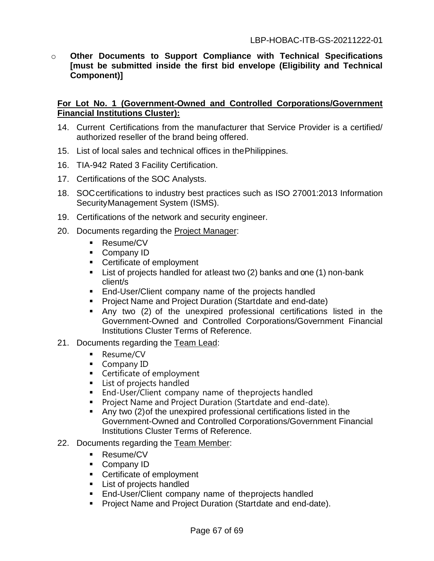o **Other Documents to Support Compliance with Technical Specifications [must be submitted inside the first bid envelope (Eligibility and Technical Component)]**

#### **For Lot No. 1 (Government-Owned and Controlled Corporations/Government Financial Institutions Cluster):**

- 14. Current Certifications from the manufacturer that Service Provider is a certified/ authorized reseller of the brand being offered.
- 15. List of local sales and technical offices in thePhilippines.
- 16. TIA-942 Rated 3 Facility Certification.
- 17. Certifications of the SOC Analysts.
- 18. SOCcertifications to industry best practices such as ISO 27001:2013 Information SecurityManagement System (ISMS).
- 19. Certifications of the network and security engineer.
- 20. Documents regarding the Project Manager:
	- Resume/CV
	- **Company ID**
	- **Certificate of employment**
	- **List of projects handled for atleast two (2) banks and one (1) non-bank** client/s
	- **End-User/Client company name of the projects handled**
	- **Project Name and Project Duration (Startdate and end-date)**
	- Any two (2) of the unexpired professional certifications listed in the Government-Owned and Controlled Corporations/Government Financial Institutions Cluster Terms of Reference.
- 21. Documents regarding the Team Lead:
	- **Resume/CV**
	- Company ID
	- **EXEC** Certificate of employment
	- **List of projects handled**
	- **End-User/Client company name of theprojects handled**
	- **Project Name and Project Duration (Startdate and end-date).**
	- Any two (2)of the unexpired professional certifications listed in the Government-Owned and Controlled Corporations/Government Financial Institutions Cluster Terms of Reference.
- 22. Documents regarding the Team Member:
	- Resume/CV
	- Company **ID**
	- **Certificate of employment**
	- **List of projects handled**
	- **End-User/Client company name of theprojects handled**
	- **Project Name and Project Duration (Startdate and end-date).**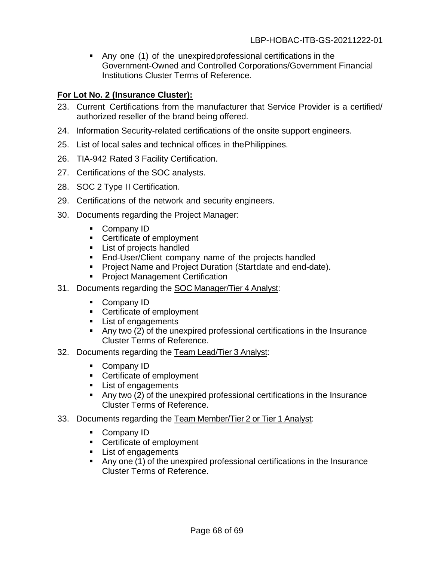Any one (1) of the unexpiredprofessional certifications in the Government-Owned and Controlled Corporations/Government Financial Institutions Cluster Terms of Reference.

#### **For Lot No. 2 (Insurance Cluster):**

- 23. Current Certifications from the manufacturer that Service Provider is a certified/ authorized reseller of the brand being offered.
- 24. Information Security-related certifications of the onsite support engineers.
- 25. List of local sales and technical offices in thePhilippines.
- 26. TIA-942 Rated 3 Facility Certification.
- 27. Certifications of the SOC analysts.
- 28. SOC 2 Type II Certification.
- 29. Certifications of the network and security engineers.
- 30. Documents regarding the Project Manager:
	- **Company ID**
	- **Certificate of employment**
	- **List of projects handled**
	- **End-User/Client company name of the projects handled**
	- **Project Name and Project Duration (Startdate and end-date).**
	- **Project Management Certification**
- 31. Documents regarding the SOC Manager/Tier 4 Analyst:
	- **Company ID**
	- **Certificate of employment**
	- **List of engagements**
	- Any two (2) of the unexpired professional certifications in the Insurance Cluster Terms of Reference.
- 32. Documents regarding the Team Lead/Tier 3 Analyst:
	- **Company ID**
	- **Certificate of employment**
	- **List of engagements**
	- Any two (2) of the unexpired professional certifications in the Insurance Cluster Terms of Reference.
- 33. Documents regarding the Team Member/Tier 2 or Tier 1 Analyst:
	- Company ID
	- **Certificate of employment**
	- **List of engagements**
	- Any one (1) of the unexpired professional certifications in the Insurance Cluster Terms of Reference.